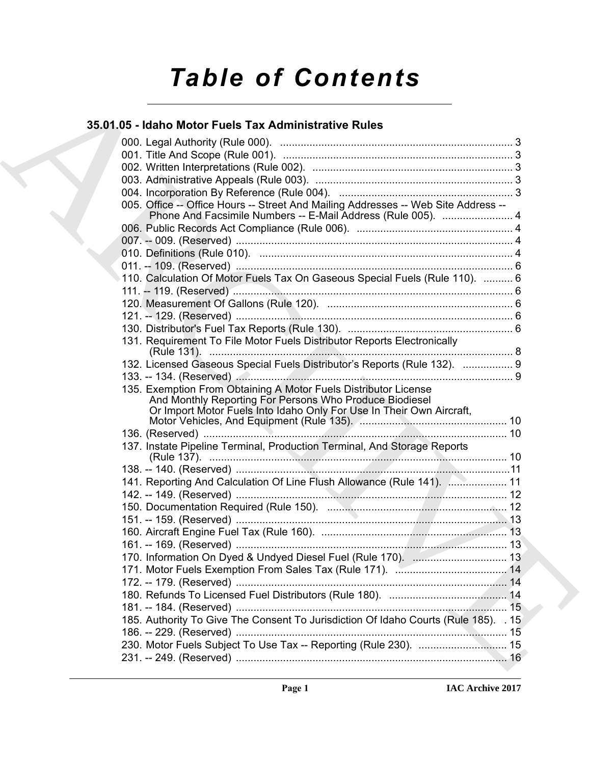# *Table of Contents*

# **35.01.05 - Idaho Motor Fuels Tax Administrative Rules**

| 35.01.05 - Idaho Motor Fuels Tax Administrative Rules                                                                                                                                              |  |
|----------------------------------------------------------------------------------------------------------------------------------------------------------------------------------------------------|--|
|                                                                                                                                                                                                    |  |
|                                                                                                                                                                                                    |  |
|                                                                                                                                                                                                    |  |
|                                                                                                                                                                                                    |  |
|                                                                                                                                                                                                    |  |
| 005. Office -- Office Hours -- Street And Mailing Addresses -- Web Site Address --<br>Phone And Facsimile Numbers -- E-Mail Address (Rule 005).  4                                                 |  |
|                                                                                                                                                                                                    |  |
|                                                                                                                                                                                                    |  |
|                                                                                                                                                                                                    |  |
|                                                                                                                                                                                                    |  |
| 110. Calculation Of Motor Fuels Tax On Gaseous Special Fuels (Rule 110).  6                                                                                                                        |  |
|                                                                                                                                                                                                    |  |
|                                                                                                                                                                                                    |  |
|                                                                                                                                                                                                    |  |
| 131. Requirement To File Motor Fuels Distributor Reports Electronically                                                                                                                            |  |
| 132. Licensed Gaseous Special Fuels Distributor's Reports (Rule 132).  9                                                                                                                           |  |
|                                                                                                                                                                                                    |  |
| 135. Exemption From Obtaining A Motor Fuels Distributor License<br>And Monthly Reporting For Persons Who Produce Biodiesel<br>Or Import Motor Fuels Into Idaho Only For Use In Their Own Aircraft, |  |
|                                                                                                                                                                                                    |  |
| 137. Instate Pipeline Terminal, Production Terminal, And Storage Reports                                                                                                                           |  |
|                                                                                                                                                                                                    |  |
| 141. Reporting And Calculation Of Line Flush Allowance (Rule 141).  11                                                                                                                             |  |
|                                                                                                                                                                                                    |  |
|                                                                                                                                                                                                    |  |
|                                                                                                                                                                                                    |  |
|                                                                                                                                                                                                    |  |
|                                                                                                                                                                                                    |  |
| 170. Information On Dyed & Undyed Diesel Fuel (Rule 170).  13                                                                                                                                      |  |
|                                                                                                                                                                                                    |  |
|                                                                                                                                                                                                    |  |
|                                                                                                                                                                                                    |  |
|                                                                                                                                                                                                    |  |
| 185. Authority To Give The Consent To Jurisdiction Of Idaho Courts (Rule 185). . 15                                                                                                                |  |
|                                                                                                                                                                                                    |  |
|                                                                                                                                                                                                    |  |
|                                                                                                                                                                                                    |  |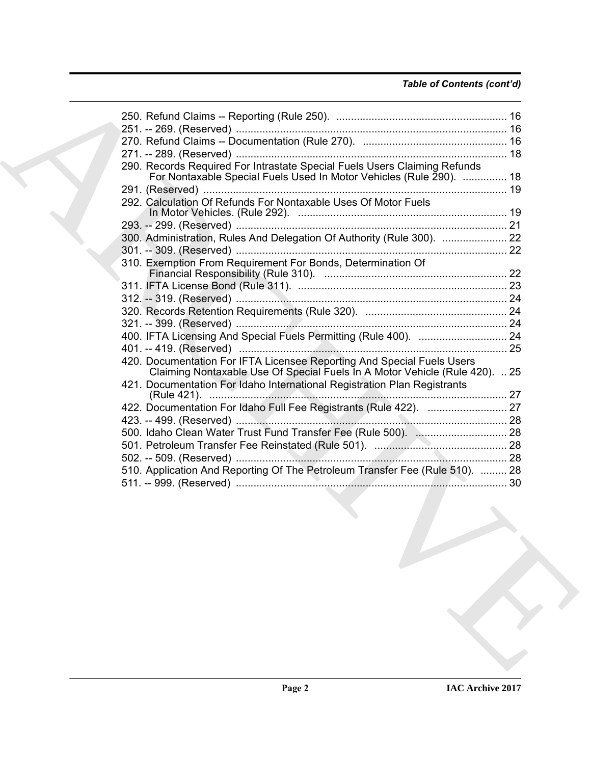## *Table of Contents (cont'd)*

| 290. Records Required For Intrastate Special Fuels Users Claiming Refunds                                                                               |  |
|---------------------------------------------------------------------------------------------------------------------------------------------------------|--|
| For Nontaxable Special Fuels Used In Motor Vehicles (Rule 290).  18                                                                                     |  |
|                                                                                                                                                         |  |
| 292. Calculation Of Refunds For Nontaxable Uses Of Motor Fuels                                                                                          |  |
|                                                                                                                                                         |  |
|                                                                                                                                                         |  |
| 300. Administration, Rules And Delegation Of Authority (Rule 300).  22                                                                                  |  |
|                                                                                                                                                         |  |
| 310. Exemption From Requirement For Bonds, Determination Of                                                                                             |  |
|                                                                                                                                                         |  |
|                                                                                                                                                         |  |
|                                                                                                                                                         |  |
|                                                                                                                                                         |  |
|                                                                                                                                                         |  |
|                                                                                                                                                         |  |
| 420. Documentation For IFTA Licensee Reporting And Special Fuels Users                                                                                  |  |
| Claiming Nontaxable Use Of Special Fuels In A Motor Vehicle (Rule 420).  25<br>421. Documentation For Idaho International Registration Plan Registrants |  |
|                                                                                                                                                         |  |
| 422. Documentation For Idaho Full Fee Registrants (Rule 422).  27                                                                                       |  |
|                                                                                                                                                         |  |
|                                                                                                                                                         |  |
|                                                                                                                                                         |  |
|                                                                                                                                                         |  |
| 510. Application And Reporting Of The Petroleum Transfer Fee (Rule 510).  28                                                                            |  |
|                                                                                                                                                         |  |
|                                                                                                                                                         |  |
|                                                                                                                                                         |  |
|                                                                                                                                                         |  |
|                                                                                                                                                         |  |
|                                                                                                                                                         |  |
|                                                                                                                                                         |  |
|                                                                                                                                                         |  |
|                                                                                                                                                         |  |
|                                                                                                                                                         |  |
|                                                                                                                                                         |  |
|                                                                                                                                                         |  |
|                                                                                                                                                         |  |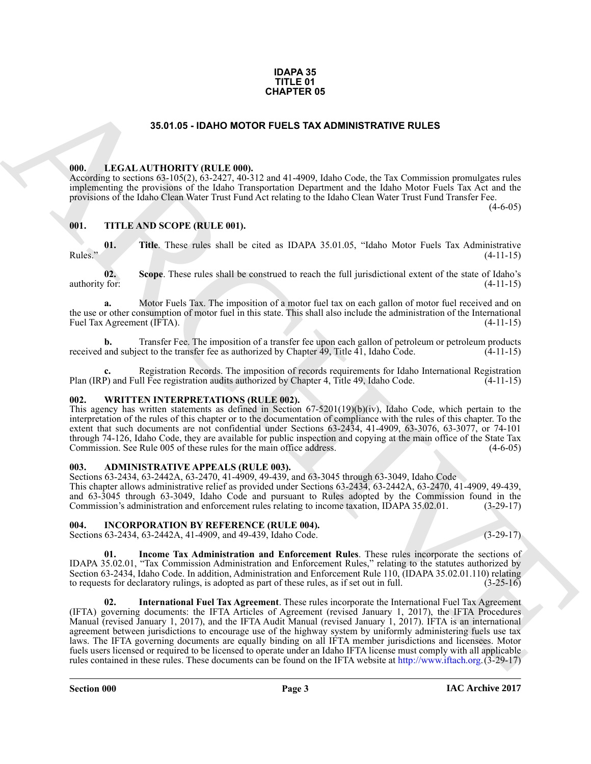### **IDAPA 35 TITLE 01 CHAPTER 05**

### **35.01.05 - IDAHO MOTOR FUELS TAX ADMINISTRATIVE RULES**

### <span id="page-2-1"></span><span id="page-2-0"></span>**000. LEGAL AUTHORITY (RULE 000).**

According to sections 63-105(2), 63-2427, 40-312 and 41-4909, Idaho Code, the Tax Commission promulgates rules implementing the provisions of the Idaho Transportation Department and the Idaho Motor Fuels Tax Act and the provisions of the Idaho Clean Water Trust Fund Act relating to the Idaho Clean Water Trust Fund Transfer Fee.

 $(4-6-05)$ 

### <span id="page-2-2"></span>**001. TITLE AND SCOPE (RULE 001).**

**01.** Title. These rules shall be cited as IDAPA 35.01.05, "Idaho Motor Fuels Tax Administrative (4-11-15) Rules." (4-11-15)

**02. Scope**. These rules shall be construed to reach the full jurisdictional extent of the state of Idaho's authority for: (4-11-15)

**a.** Motor Fuels Tax. The imposition of a motor fuel tax on each gallon of motor fuel received and on the use or other consumption of motor fuel in this state. This shall also include the administration of the International Fuel Tax Agreement (IFTA). (4-11-15) Fuel Tax Agreement (IFTA).

**b.** Transfer Fee. The imposition of a transfer fee upon each gallon of petroleum or petroleum products and subject to the transfer fee as authorized by Chapter 49, Title 41, Idaho Code. (4-11-15) received and subject to the transfer fee as authorized by Chapter 49, Title 41, Idaho Code.

Registration Records. The imposition of records requirements for Idaho International Registration<br>11 Fee registration audits authorized by Chapter 4. Title 49. Idaho Code. (4-11-15) Plan (IRP) and Full Fee registration audits authorized by Chapter 4, Title 49, Idaho Code.

### <span id="page-2-3"></span>**002. WRITTEN INTERPRETATIONS (RULE 002).**

This agency has written statements as defined in Section 67-5201(19)(b)(iv), Idaho Code, which pertain to the interpretation of the rules of this chapter or to the documentation of compliance with the rules of this chapter. To the extent that such documents are not confidential under Sections 63-2434, 41-4909, 63-3076, 63-3077, or 74-101 through 74-126, Idaho Code, they are available for public inspection and copying at the main office of the State Tax Commission. See Rule 005 of these rules for the main office address. (4-6-05)

### <span id="page-2-4"></span>**003. ADMINISTRATIVE APPEALS (RULE 003).**

Sections 63-2434, 63-2442A, 63-2470, 41-4909, 49-439, and 63-3045 through 63-3049, Idaho Code

This chapter allows administrative relief as provided under Sections 63-2434, 63-2442A, 63-2470, 41-4909, 49-439, and 63-3045 through 63-3049, Idaho Code and pursuant to Rules adopted by the Commission found in the Commission's administration and enforcement rules relating to income taxation, IDAPA 35.02.01. (3-29-17)

<span id="page-2-5"></span>**004. INCORPORATION BY REFERENCE (RULE 004).** Sections 63-2434, 63-2442A, 41-4909, and 49-439, Idaho Code. (3-29-17)

**01. Income Tax Administration and Enforcement Rules**. These rules incorporate the sections of

IDAPA 35.02.01, "Tax Commission Administration and Enforcement Rules," relating to the statutes authorized by Section 63-2434, Idaho Code. In addition, Administration and Enforcement Rule 110, (IDAPA 35.02.01.110) relating to requests for declaratory rulings, is adopted as part of these rules, as if set out in full. (3-25-16) to requests for declaratory rulings, is adopted as part of these rules, as if set out in full.

**35.67.05 - IDA-IN TH[E](http://www.iftach.org) US CONTROLLES TAX ADMINISTRATIVE RULES<br>
THE LACK ANTIONEEY (RULE 69)<br>
THE LACK AND RULES TAX ADMINISTRATIVE RULES<br>
THE LACK AND SCOPE (RULE 69)<br>
THE LACK SCOPE (RULE 69)<br>
THE LACK SCOPE (RULE 69)<br>
T 02. International Fuel Tax Agreement**. These rules incorporate the International Fuel Tax Agreement (IFTA) governing documents: the IFTA Articles of Agreement (revised January 1, 2017), the IFTA Procedures Manual (revised January 1, 2017), and the IFTA Audit Manual (revised January 1, 2017). IFTA is an international agreement between jurisdictions to encourage use of the highway system by uniformly administering fuels use tax laws. The IFTA governing documents are equally binding on all IFTA member jurisdictions and licensees. Motor fuels users licensed or required to be licensed to operate under an Idaho IFTA license must comply with all applicable rules contained in these rules. These documents can be found on the IFTA website at http://www.iftach.org.(3-29-17)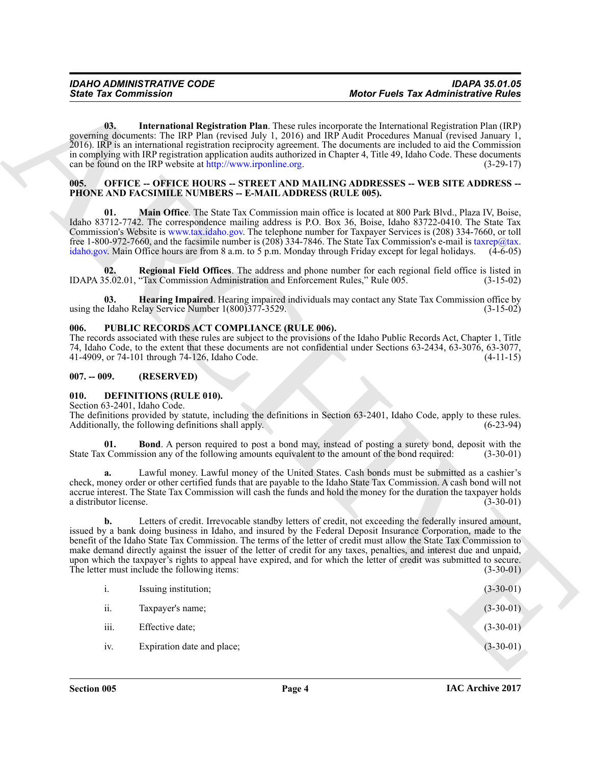### <span id="page-3-0"></span>**OFFICE -- OFFICE HOURS -- STREET AND MAILING ADDRESSES -- WEB SITE ADDRESS --PHONE AND FACSIMILE NUMBERS -- E-MAIL ADDRESS (RULE 005).**

### <span id="page-3-1"></span>**006. PUBLIC RECORDS ACT COMPLIANCE (RULE 006).**

### <span id="page-3-2"></span>**007. -- 009. (RESERVED)**

### <span id="page-3-5"></span><span id="page-3-4"></span><span id="page-3-3"></span>**010. DEFINITIONS (RULE 010).**

| <b>State Tax Commission</b>          |                                                                                             | <b>Motor Fuels Tax Administrative Rules</b>                                                                                                                                                                                                                                                                                                                                                                                                                                                                                                                                                                      |
|--------------------------------------|---------------------------------------------------------------------------------------------|------------------------------------------------------------------------------------------------------------------------------------------------------------------------------------------------------------------------------------------------------------------------------------------------------------------------------------------------------------------------------------------------------------------------------------------------------------------------------------------------------------------------------------------------------------------------------------------------------------------|
| 03.                                  | can be found on the IRP website at http://www.irponline.org.                                | <b>International Registration Plan.</b> These rules incorporate the International Registration Plan (IRP)<br>governing documents: The IRP Plan (revised July 1, 2016) and IRP Audit Procedures Manual (revised January 1,<br>2016). IRP is an international registration reciprocity agreement. The documents are included to aid the Commission<br>in complying with IRP registration application audits authorized in Chapter 4, Title 49, Idaho Code. These documents<br>$(3-29-17)$                                                                                                                          |
| 005.                                 | PHONE AND FACSIMILE NUMBERS -- E-MAIL ADDRESS (RULE 005).                                   | <b>OFFICE -- OFFICE HOURS -- STREET AND MAILING ADDRESSES -- WEB SITE ADDRESS --</b>                                                                                                                                                                                                                                                                                                                                                                                                                                                                                                                             |
| 01.                                  |                                                                                             | Main Office. The State Tax Commission main office is located at 800 Park Blvd., Plaza IV, Boise,<br>Idaho 83712-7742. The correspondence mailing address is P.O. Box 36, Boise, Idaho 83722-0410. The State Tax<br>Commission's Website is www.tax.idaho.gov. The telephone number for Taxpayer Services is (208) 334-7660, or toll<br>free 1-800-972-7660, and the facsimile number is (208) 334-7846. The State Tax Commission's e-mail is taxrep@tax.<br>idaho.gov. Main Office hours are from 8 a.m. to 5 p.m. Monday through Friday except for legal holidays.<br>$(4-6-05)$                                |
| 02.                                  | IDAPA 35.02.01, "Tax Commission Administration and Enforcement Rules," Rule 005.            | Regional Field Offices. The address and phone number for each regional field office is listed in<br>$(3-15-02)$                                                                                                                                                                                                                                                                                                                                                                                                                                                                                                  |
| 03.                                  | using the Idaho Relay Service Number 1(800) 377-3529.                                       | Hearing Impaired. Hearing impaired individuals may contact any State Tax Commission office by<br>$(3-15-02)$                                                                                                                                                                                                                                                                                                                                                                                                                                                                                                     |
| 006.                                 | PUBLIC RECORDS ACT COMPLIANCE (RULE 006).<br>41-4909, or 74-101 through 74-126, Idaho Code. | The records associated with these rules are subject to the provisions of the Idaho Public Records Act, Chapter 1, Title<br>74, Idaho Code, to the extent that these documents are not confidential under Sections 63-2434, 63-3076, 63-3077,<br>$(4-11-15)$                                                                                                                                                                                                                                                                                                                                                      |
| $007. - 009.$                        | (RESERVED)                                                                                  |                                                                                                                                                                                                                                                                                                                                                                                                                                                                                                                                                                                                                  |
| 010.<br>Section 63-2401, Idaho Code. | <b>DEFINITIONS (RULE 010).</b><br>Additionally, the following definitions shall apply.      | The definitions provided by statute, including the definitions in Section 63-2401, Idaho Code, apply to these rules.<br>$(6-23-94)$                                                                                                                                                                                                                                                                                                                                                                                                                                                                              |
| 01.                                  |                                                                                             | <b>Bond</b> . A person required to post a bond may, instead of posting a surety bond, deposit with the<br>State Tax Commission any of the following amounts equivalent to the amount of the bond required:<br>$(3-30-01)$                                                                                                                                                                                                                                                                                                                                                                                        |
| a.<br>a distributor license.         |                                                                                             | Lawful money. Lawful money of the United States. Cash bonds must be submitted as a cashier's<br>check, money order or other certified funds that are payable to the Idaho State Tax Commission. A cash bond will not<br>accrue interest. The State Tax Commission will cash the funds and hold the money for the duration the taxpayer holds<br>$(3-30-01)$                                                                                                                                                                                                                                                      |
| b.                                   | The letter must include the following items:                                                | Letters of credit. Irrevocable standby letters of credit, not exceeding the federally insured amount,<br>issued by a bank doing business in Idaho, and insured by the Federal Deposit Insurance Corporation, made to the<br>benefit of the Idaho State Tax Commission. The terms of the letter of credit must allow the State Tax Commission to<br>make demand directly against the issuer of the letter of credit for any taxes, penalties, and interest due and unpaid,<br>upon which the taxpayer's rights to appeal have expired, and for which the letter of credit was submitted to secure.<br>$(3-30-01)$ |
| $i$ .                                | Issuing institution;                                                                        | $(3-30-01)$                                                                                                                                                                                                                                                                                                                                                                                                                                                                                                                                                                                                      |
| ii.                                  | Taxpayer's name;                                                                            | $(3-30-01)$                                                                                                                                                                                                                                                                                                                                                                                                                                                                                                                                                                                                      |
|                                      | Effective date;                                                                             | $(3-30-01)$                                                                                                                                                                                                                                                                                                                                                                                                                                                                                                                                                                                                      |
| iii.                                 |                                                                                             |                                                                                                                                                                                                                                                                                                                                                                                                                                                                                                                                                                                                                  |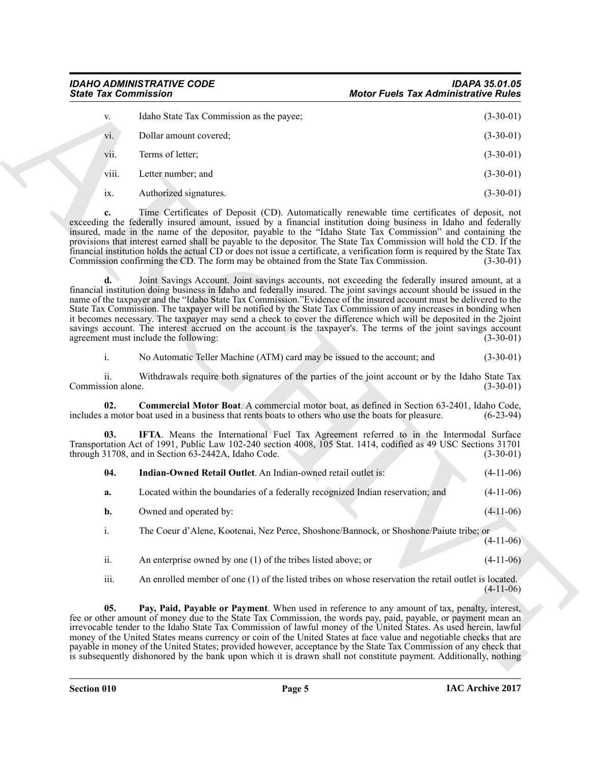<span id="page-4-3"></span><span id="page-4-2"></span><span id="page-4-1"></span><span id="page-4-0"></span>

| V.    | Idaho State Tax Commission as the payee; | $(3-30-01)$ |
|-------|------------------------------------------|-------------|
| vi.   | Dollar amount covered;                   | $(3-30-01)$ |
| vii.  | Terms of letter;                         | $(3-30-01)$ |
| viii. | Letter number; and                       | $(3-30-01)$ |
| 1X.   | Authorized signatures.                   | $(3-30-01)$ |

| <b>State Tax Commission</b>            |                                                                                                     | <b>Motor Fuels Tax Administrative Rules</b>                                                                                                                                                                                                                                                                                                                                                                                                                                                                                                                                                                                                                                                                               |  |
|----------------------------------------|-----------------------------------------------------------------------------------------------------|---------------------------------------------------------------------------------------------------------------------------------------------------------------------------------------------------------------------------------------------------------------------------------------------------------------------------------------------------------------------------------------------------------------------------------------------------------------------------------------------------------------------------------------------------------------------------------------------------------------------------------------------------------------------------------------------------------------------------|--|
| V.                                     | Idaho State Tax Commission as the payee;                                                            | $(3-30-01)$                                                                                                                                                                                                                                                                                                                                                                                                                                                                                                                                                                                                                                                                                                               |  |
| vi.                                    | Dollar amount covered;                                                                              | $(3-30-01)$                                                                                                                                                                                                                                                                                                                                                                                                                                                                                                                                                                                                                                                                                                               |  |
| V11.                                   | Terms of letter;                                                                                    | $(3-30-01)$                                                                                                                                                                                                                                                                                                                                                                                                                                                                                                                                                                                                                                                                                                               |  |
| viii.                                  | Letter number; and                                                                                  | $(3-30-01)$                                                                                                                                                                                                                                                                                                                                                                                                                                                                                                                                                                                                                                                                                                               |  |
| ix.                                    | Authorized signatures.                                                                              | $(3-30-01)$                                                                                                                                                                                                                                                                                                                                                                                                                                                                                                                                                                                                                                                                                                               |  |
| c.                                     | Commission confirming the CD. The form may be obtained from the State Tax Commission.               | Time Certificates of Deposit (CD). Automatically renewable time certificates of deposit, not<br>exceeding the federally insured amount, issued by a financial institution doing business in Idaho and federally<br>insured, made in the name of the depositor, payable to the "Idaho State Tax Commission" and containing the<br>provisions that interest earned shall be payable to the depositor. The State Tax Commission will hold the CD. If the<br>financial institution holds the actual CD or does not issue a certificate, a verification form is required by the State Tax<br>$(3-30-01)$                                                                                                                       |  |
| d.                                     | agreement must include the following:                                                               | Joint Savings Account. Joint savings accounts, not exceeding the federally insured amount, at a<br>financial institution doing business in Idaho and federally insured. The joint savings account should be issued in the<br>name of the taxpayer and the "Idaho State Tax Commission."Evidence of the insured account must be delivered to the<br>State Tax Commission. The taxpayer will be notified by the State Tax Commission of any increases in bonding when<br>it becomes necessary. The taxpayer may send a check to cover the difference which will be deposited in the 2joint<br>savings account. The interest accrued on the account is the taxpayer's. The terms of the joint savings account<br>$(3-30-01)$ |  |
| $\mathbf{i}$ .                         | No Automatic Teller Machine (ATM) card may be issued to the account; and                            | $(3-30-01)$                                                                                                                                                                                                                                                                                                                                                                                                                                                                                                                                                                                                                                                                                                               |  |
| $\overline{11}$ .<br>Commission alone. |                                                                                                     | Withdrawals require both signatures of the parties of the joint account or by the Idaho State Tax<br>$(3-30-01)$                                                                                                                                                                                                                                                                                                                                                                                                                                                                                                                                                                                                          |  |
| 02.                                    | includes a motor boat used in a business that rents boats to others who use the boats for pleasure. | Commercial Motor Boat. A commercial motor boat, as defined in Section 63-2401, Idaho Code,<br>$(6-23-94)$                                                                                                                                                                                                                                                                                                                                                                                                                                                                                                                                                                                                                 |  |
| 03.                                    | through 31708, and in Section 63-2442A, Idaho Code.                                                 | IFTA. Means the International Fuel Tax Agreement referred to in the Intermodal Surface<br>Transportation Act of 1991, Public Law 102-240 section 4008, 105 Stat. 1414, codified as 49 USC Sections 31701<br>$(3-30-01)$                                                                                                                                                                                                                                                                                                                                                                                                                                                                                                   |  |
| 04.                                    | Indian-Owned Retail Outlet. An Indian-owned retail outlet is:                                       | $(4-11-06)$                                                                                                                                                                                                                                                                                                                                                                                                                                                                                                                                                                                                                                                                                                               |  |
| a.                                     | Located within the boundaries of a federally recognized Indian reservation; and                     | $(4-11-06)$                                                                                                                                                                                                                                                                                                                                                                                                                                                                                                                                                                                                                                                                                                               |  |
| b.                                     | Owned and operated by:                                                                              | $(4-11-06)$                                                                                                                                                                                                                                                                                                                                                                                                                                                                                                                                                                                                                                                                                                               |  |
| $i$ .                                  | The Coeur d'Alene, Kootenai, Nez Perce, Shoshone/Bannock, or Shoshone/Paiute tribe; or              | $(4-11-06)$                                                                                                                                                                                                                                                                                                                                                                                                                                                                                                                                                                                                                                                                                                               |  |
| ii.                                    | An enterprise owned by one $(1)$ of the tribes listed above; or                                     | $(4-11-06)$                                                                                                                                                                                                                                                                                                                                                                                                                                                                                                                                                                                                                                                                                                               |  |
| iii.                                   |                                                                                                     | An enrolled member of one (1) of the listed tribes on whose reservation the retail outlet is located.<br>$(4-11-06)$                                                                                                                                                                                                                                                                                                                                                                                                                                                                                                                                                                                                      |  |
| 05.                                    |                                                                                                     | Pay, Paid, Payable or Payment. When used in reference to any amount of tax, penalty, interest,<br>fee or other amount of money due to the State Tax Commission, the words pay, paid, payable, or payment mean an<br>irrevocable tender to the Idaho State Tax Commission of lawful money of the United States. As used herein, lawful<br>money of the United States means currency or coin of the United States at face value and negotiable checks that are<br>payable in money of the United States; provided however, acceptance by the State Tax Commission of any check that<br>is subsequently dishonored by the bank upon which it is drawn shall not constitute payment. Additionally, nothing                    |  |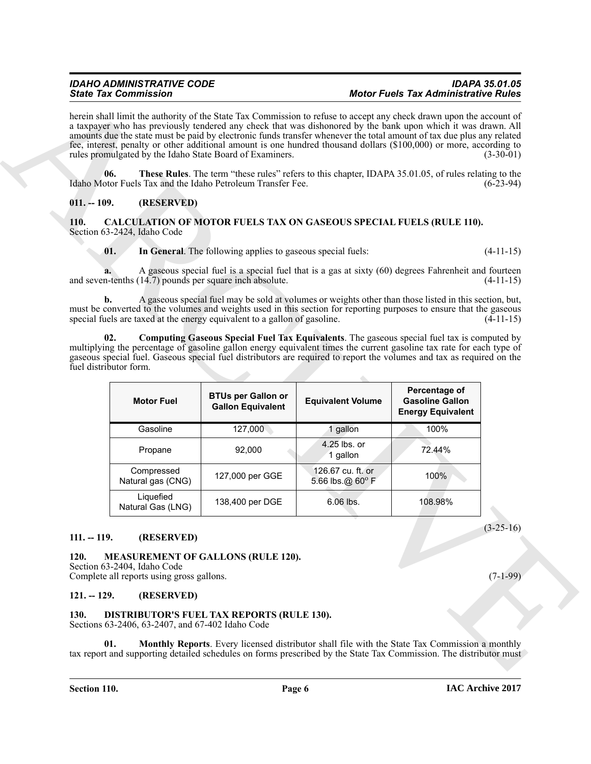### <span id="page-5-9"></span><span id="page-5-8"></span><span id="page-5-7"></span><span id="page-5-6"></span><span id="page-5-1"></span><span id="page-5-0"></span>**110. CALCULATION OF MOTOR FUELS TAX ON GASEOUS SPECIAL FUELS (RULE 110).** Section 63-2424, Idaho Code

|                                                 | <b>State Tax Commission</b>                                              |                                                                                                                                                                                                                                                                                                                                                                                                                                                                                                                                                   | <b>Motor Fuels Tax Administrative Rules</b>                                                                          |                                                                     |             |
|-------------------------------------------------|--------------------------------------------------------------------------|---------------------------------------------------------------------------------------------------------------------------------------------------------------------------------------------------------------------------------------------------------------------------------------------------------------------------------------------------------------------------------------------------------------------------------------------------------------------------------------------------------------------------------------------------|----------------------------------------------------------------------------------------------------------------------|---------------------------------------------------------------------|-------------|
|                                                 |                                                                          | herein shall limit the authority of the State Tax Commission to refuse to accept any check drawn upon the account of<br>a taxpayer who has previously tendered any check that was dishonored by the bank upon which it was drawn. All<br>amounts due the state must be paid by electronic funds transfer whenever the total amount of tax due plus any related<br>fee, interest, penalty or other additional amount is one hundred thousand dollars (\$100,000) or more, according to<br>rules promulgated by the Idaho State Board of Examiners. |                                                                                                                      |                                                                     | $(3-30-01)$ |
| 06.                                             |                                                                          | These Rules. The term "these rules" refers to this chapter, IDAPA 35.01.05, of rules relating to the<br>Idaho Motor Fuels Tax and the Idaho Petroleum Transfer Fee.                                                                                                                                                                                                                                                                                                                                                                               |                                                                                                                      |                                                                     | $(6-23-94)$ |
| $011. - 109.$                                   | (RESERVED)                                                               |                                                                                                                                                                                                                                                                                                                                                                                                                                                                                                                                                   |                                                                                                                      |                                                                     |             |
| <b>110.</b>                                     | Section 63-2424, Idaho Code                                              | <b>CALCULATION OF MOTOR FUELS TAX ON GASEOUS SPECIAL FUELS (RULE 110).</b>                                                                                                                                                                                                                                                                                                                                                                                                                                                                        |                                                                                                                      |                                                                     |             |
| 01.                                             |                                                                          | In General. The following applies to gaseous special fuels:                                                                                                                                                                                                                                                                                                                                                                                                                                                                                       |                                                                                                                      |                                                                     | $(4-11-15)$ |
|                                                 |                                                                          | A gaseous special fuel is a special fuel that is a gas at sixty (60) degrees Fahrenheit and fourteen<br>and seven-tenths (14.7) pounds per square inch absolute.                                                                                                                                                                                                                                                                                                                                                                                  |                                                                                                                      |                                                                     | $(4-11-15)$ |
| b.                                              |                                                                          | A gaseous special fuel may be sold at volumes or weights other than those listed in this section, but,<br>must be converted to the volumes and weights used in this section for reporting purposes to ensure that the gaseous<br>special fuels are taxed at the energy equivalent to a gallon of gasoline.                                                                                                                                                                                                                                        |                                                                                                                      |                                                                     | $(4-11-15)$ |
|                                                 |                                                                          |                                                                                                                                                                                                                                                                                                                                                                                                                                                                                                                                                   | multiplying the percentage of gasoline gallon energy equivalent times the current gasoline tax rate for each type of |                                                                     |             |
|                                                 | <b>Motor Fuel</b>                                                        | gaseous special fuel. Gaseous special fuel distributors are required to report the volumes and tax as required on the<br><b>BTUs per Gallon or</b><br><b>Gallon Equivalent</b>                                                                                                                                                                                                                                                                                                                                                                    | <b>Equivalent Volume</b>                                                                                             | Percentage of<br><b>Gasoline Gallon</b><br><b>Energy Equivalent</b> |             |
|                                                 | Gasoline                                                                 | 127,000                                                                                                                                                                                                                                                                                                                                                                                                                                                                                                                                           | 1 gallon                                                                                                             | 100%                                                                |             |
|                                                 | Propane                                                                  | 92,000                                                                                                                                                                                                                                                                                                                                                                                                                                                                                                                                            | 4.25 lbs. or<br>1 gallon                                                                                             | 72.44%                                                              |             |
|                                                 | Compressed<br>Natural gas (CNG)                                          | 127,000 per GGE                                                                                                                                                                                                                                                                                                                                                                                                                                                                                                                                   | 126.67 cu. ft. or<br>5.66 lbs.@ $60^{\circ}$ F                                                                       | 100%                                                                |             |
|                                                 | Liquefied<br>Natural Gas (LNG)                                           | 138,400 per DGE                                                                                                                                                                                                                                                                                                                                                                                                                                                                                                                                   | 6.06 lbs.                                                                                                            | 108.98%                                                             |             |
|                                                 | (RESERVED)                                                               |                                                                                                                                                                                                                                                                                                                                                                                                                                                                                                                                                   |                                                                                                                      |                                                                     | $(3-25-16)$ |
| fuel distributor form.<br>$111. - 119.$<br>120. | Section 63-2404, Idaho Code<br>Complete all reports using gross gallons. | <b>MEASUREMENT OF GALLONS (RULE 120).</b>                                                                                                                                                                                                                                                                                                                                                                                                                                                                                                         |                                                                                                                      |                                                                     | $(7-1-99)$  |
| $121. - 129.$                                   | (RESERVED)                                                               |                                                                                                                                                                                                                                                                                                                                                                                                                                                                                                                                                   |                                                                                                                      |                                                                     |             |
| 130.                                            | Sections 63-2406, 63-2407, and 67-402 Idaho Code                         | DISTRIBUTOR'S FUEL TAX REPORTS (RULE 130).                                                                                                                                                                                                                                                                                                                                                                                                                                                                                                        |                                                                                                                      |                                                                     |             |

### <span id="page-5-12"></span><span id="page-5-3"></span><span id="page-5-2"></span>**111. -- 119. (RESERVED)**

### <span id="page-5-10"></span><span id="page-5-4"></span>**121. -- 129. (RESERVED)**

### <span id="page-5-11"></span><span id="page-5-5"></span>**130. DISTRIBUTOR'S FUEL TAX REPORTS (RULE 130).**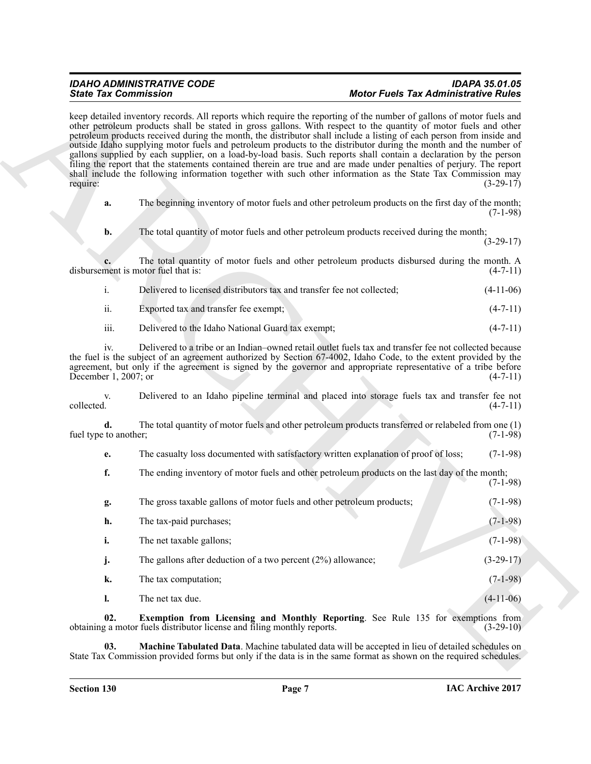### *IDAHO ADMINISTRATIVE CODE IDAPA 35.01.05 State Tax Commission Motor Fuels Tax Administrative Rules*

<span id="page-6-1"></span><span id="page-6-0"></span>

|                        | Delivered to licensed distributors tax and transfer fee not collected; | $(4-11-06)$ |
|------------------------|------------------------------------------------------------------------|-------------|
| $\cdot \cdot$<br>- 11. | Exported tax and transfer fee exempt;                                  | $(4-7-11)$  |

| <b>State Tax Commission</b>         |                                                                                                                                                                                                                                                                                                                                                                                                                                                                                                                                                                                                                                                                                                                                                                                                                                                    | <b>Motor Fuels Tax Administrative Rules</b> |
|-------------------------------------|----------------------------------------------------------------------------------------------------------------------------------------------------------------------------------------------------------------------------------------------------------------------------------------------------------------------------------------------------------------------------------------------------------------------------------------------------------------------------------------------------------------------------------------------------------------------------------------------------------------------------------------------------------------------------------------------------------------------------------------------------------------------------------------------------------------------------------------------------|---------------------------------------------|
| require:                            | keep detailed inventory records. All reports which require the reporting of the number of gallons of motor fuels and<br>other petroleum products shall be stated in gross gallons. With respect to the quantity of motor fuels and other<br>petroleum products received during the month, the distributor shall include a listing of each person from inside and<br>outside Idaho supplying motor fuels and petroleum products to the distributor during the month and the number of<br>gallons supplied by each supplier, on a load-by-load basis. Such reports shall contain a declaration by the person<br>filing the report that the statements contained therein are true and are made under penalties of perjury. The report<br>shall include the following information together with such other information as the State Tax Commission may | $(3-29-17)$                                 |
| a.                                  | The beginning inventory of motor fuels and other petroleum products on the first day of the month;                                                                                                                                                                                                                                                                                                                                                                                                                                                                                                                                                                                                                                                                                                                                                 | $(7-1-98)$                                  |
| b.                                  | The total quantity of motor fuels and other petroleum products received during the month;                                                                                                                                                                                                                                                                                                                                                                                                                                                                                                                                                                                                                                                                                                                                                          | $(3-29-17)$                                 |
| disbursement is motor fuel that is: | The total quantity of motor fuels and other petroleum products disbursed during the month. A                                                                                                                                                                                                                                                                                                                                                                                                                                                                                                                                                                                                                                                                                                                                                       | $(4-7-11)$                                  |
| i.                                  | Delivered to licensed distributors tax and transfer fee not collected;                                                                                                                                                                                                                                                                                                                                                                                                                                                                                                                                                                                                                                                                                                                                                                             | $(4-11-06)$                                 |
| ii.                                 | Exported tax and transfer fee exempt;                                                                                                                                                                                                                                                                                                                                                                                                                                                                                                                                                                                                                                                                                                                                                                                                              | $(4-7-11)$                                  |
| iii.                                | Delivered to the Idaho National Guard tax exempt;                                                                                                                                                                                                                                                                                                                                                                                                                                                                                                                                                                                                                                                                                                                                                                                                  | $(4-7-11)$                                  |
| iv.<br>December 1, 2007; or         | Delivered to a tribe or an Indian-owned retail outlet fuels tax and transfer fee not collected because<br>the fuel is the subject of an agreement authorized by Section 67-4002, Idaho Code, to the extent provided by the<br>agreement, but only if the agreement is signed by the governor and appropriate representative of a tribe before                                                                                                                                                                                                                                                                                                                                                                                                                                                                                                      | $(4-7-11)$                                  |
| V.<br>collected.                    | Delivered to an Idaho pipeline terminal and placed into storage fuels tax and transfer fee not                                                                                                                                                                                                                                                                                                                                                                                                                                                                                                                                                                                                                                                                                                                                                     | $(4-7-11)$                                  |
| d.<br>fuel type to another;         | The total quantity of motor fuels and other petroleum products transferred or relabeled from one (1)                                                                                                                                                                                                                                                                                                                                                                                                                                                                                                                                                                                                                                                                                                                                               | $(7-1-98)$                                  |
| e.                                  | The casualty loss documented with satisfactory written explanation of proof of loss;                                                                                                                                                                                                                                                                                                                                                                                                                                                                                                                                                                                                                                                                                                                                                               | $(7-1-98)$                                  |
| f.                                  | The ending inventory of motor fuels and other petroleum products on the last day of the month;                                                                                                                                                                                                                                                                                                                                                                                                                                                                                                                                                                                                                                                                                                                                                     | $(7-1-98)$                                  |
| g.                                  | The gross taxable gallons of motor fuels and other petroleum products;                                                                                                                                                                                                                                                                                                                                                                                                                                                                                                                                                                                                                                                                                                                                                                             | $(7-1-98)$                                  |
| h.                                  | The tax-paid purchases;                                                                                                                                                                                                                                                                                                                                                                                                                                                                                                                                                                                                                                                                                                                                                                                                                            | $(7-1-98)$                                  |
| i.                                  | The net taxable gallons;                                                                                                                                                                                                                                                                                                                                                                                                                                                                                                                                                                                                                                                                                                                                                                                                                           | $(7-1-98)$                                  |
| j.                                  | The gallons after deduction of a two percent $(2%)$ allowance;                                                                                                                                                                                                                                                                                                                                                                                                                                                                                                                                                                                                                                                                                                                                                                                     | $(3-29-17)$                                 |
| k.                                  | The tax computation;                                                                                                                                                                                                                                                                                                                                                                                                                                                                                                                                                                                                                                                                                                                                                                                                                               | $(7-1-98)$                                  |
| 1.                                  | The net tax due.                                                                                                                                                                                                                                                                                                                                                                                                                                                                                                                                                                                                                                                                                                                                                                                                                                   | $(4-11-06)$                                 |
| 02.                                 | Exemption from Licensing and Monthly Reporting. See Rule 135 for exemptions from<br>obtaining a motor fuels distributor license and filing monthly reports.                                                                                                                                                                                                                                                                                                                                                                                                                                                                                                                                                                                                                                                                                        | $(3-29-10)$                                 |
| 03.                                 | Machine Tabulated Data. Machine tabulated data will be accepted in lieu of detailed schedules on<br>State Tax Commission provided forms but only if the data is in the same format as shown on the required schedules.                                                                                                                                                                                                                                                                                                                                                                                                                                                                                                                                                                                                                             |                                             |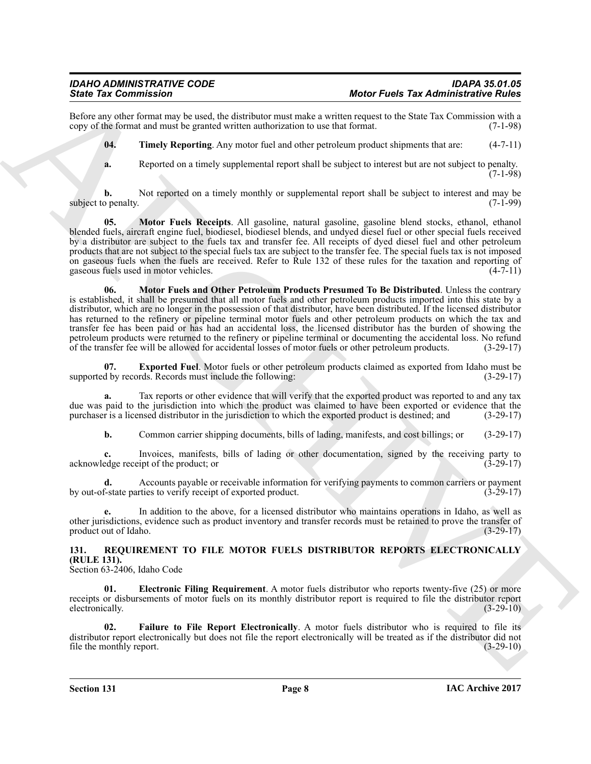$(7-1-98)$ 

Before any other format may be used, the distributor must make a written request to the State Tax Commission with a copy of the format and must be granted written authorization to use that format. (7-1-98) copy of the format and must be granted written authorization to use that format.

<span id="page-7-4"></span>**04.** Timely Reporting. Any motor fuel and other petroleum product shipments that are:  $(4-7-11)$ 

<span id="page-7-3"></span>**a.** Reported on a timely supplemental report shall be subject to interest but are not subject to penalty.

**b.** Not reported on a timely monthly or supplemental report shall be subject to interest and may be subject to penalty. (7-1-99)

<span id="page-7-2"></span>**05. Motor Fuels Receipts**. All gasoline, natural gasoline, gasoline blend stocks, ethanol, ethanol blended fuels, aircraft engine fuel, biodiesel, biodiesel blends, and undyed diesel fuel or other special fuels received by a distributor are subject to the fuels tax and transfer fee. All receipts of dyed diesel fuel and other petroleum products that are not subject to the special fuels tax are subject to the transfer fee. The special fuels tax is not imposed on gaseous fuels when the fuels are received. Refer to Rule 132 of these rules for the taxation and reporting of gaseous fuels used in motor vehicles.  $(4-7-11)$ gaseous fuels used in motor vehicles.

Since Tax Commission Control and the galacteristics and the state of the state of the state of the state of the state of the state of the state of the state of the state of the state of the state of the state of the state **06. Motor Fuels and Other Petroleum Products Presumed To Be Distributed**. Unless the contrary is established, it shall be presumed that all motor fuels and other petroleum products imported into this state by a distributor, which are no longer in the possession of that distributor, have been distributed. If the licensed distributor has returned to the refinery or pipeline terminal motor fuels and other petroleum products on which the tax and transfer fee has been paid or has had an accidental loss, the licensed distributor has the burden of showing the petroleum products were returned to the refinery or pipeline terminal or documenting the accidental loss. No refund of the transfer fee will be allowed for accidental losses of motor fuels or other petroleum products. (3-29-17)

<span id="page-7-1"></span>**07. Exported Fuel**. Motor fuels or other petroleum products claimed as exported from Idaho must be d by records. Records must include the following: (3-29-17) supported by records. Records must include the following:

**a.** Tax reports or other evidence that will verify that the exported product was reported to and any tax due was paid to the jurisdiction into which the product was claimed to have been exported or evidence that the purchaser is a licensed distributor in the jurisdiction to which the exported product is destined; and (3-29-17 purchaser is a licensed distributor in the jurisdiction to which the exported product is destined; and

**b.** Common carrier shipping documents, bills of lading, manifests, and cost billings; or (3-29-17)

**c.** Invoices, manifests, bills of lading or other documentation, signed by the receiving party to edge receiving the product: or  $(3-29-17)$ acknowledge receipt of the product; or

Accounts payable or receivable information for verifying payments to common carriers or payment<br>rties to verify receipt of exported product.<br>(3-29-17) by out-of-state parties to verify receipt of exported product.

**e.** In addition to the above, for a licensed distributor who maintains operations in Idaho, as well as other jurisdictions, evidence such as product inventory and transfer records must be retained to prove the transfer of product out of Idaho.

### <span id="page-7-5"></span><span id="page-7-0"></span>**131. REQUIREMENT TO FILE MOTOR FUELS DISTRIBUTOR REPORTS ELECTRONICALLY (RULE 131).**

Section 63-2406, Idaho Code

<span id="page-7-6"></span>**01. Electronic Filing Requirement**. A motor fuels distributor who reports twenty-five (25) or more receipts or disbursements of motor fuels on its monthly distributor report is required to file the distributor report electronically. (3-29-10)

<span id="page-7-7"></span>**02. Failure to File Report Electronically**. A motor fuels distributor who is required to file its distributor report electronically but does not file the report electronically will be treated as if the distributor did not file the monthly report. (3-29-10) file the monthly report.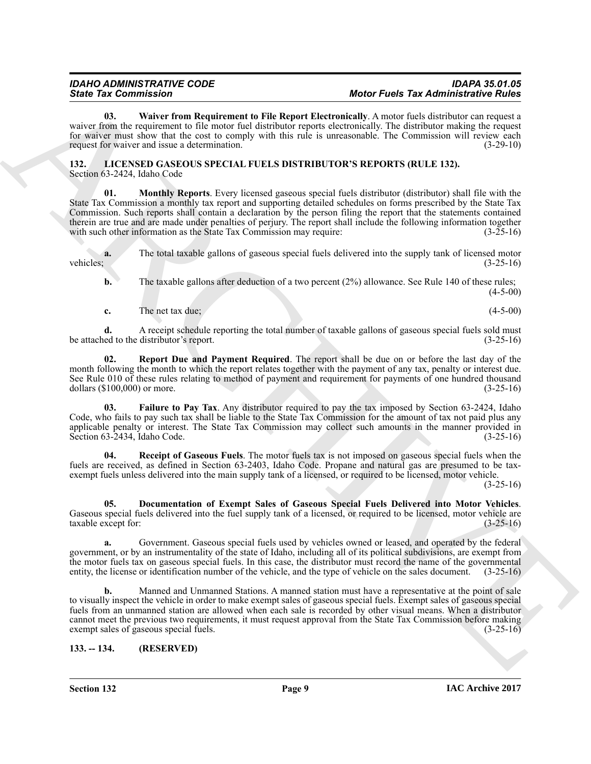<span id="page-8-8"></span>**03. Waiver from Requirement to File Report Electronically**. A motor fuels distributor can request a waiver from the requirement to file motor fuel distributor reports electronically. The distributor making the request for waiver must show that the cost to comply with this rule is unreasonable. The Commission will review each request for waiver and issue a determination. (3-29-10) request for waiver and issue a determination.

<span id="page-8-5"></span><span id="page-8-2"></span><span id="page-8-0"></span>**132. LICENSED GASEOUS SPECIAL FUELS DISTRIBUTOR'S REPORTS (RULE 132).** Section 63-2424, Idaho Code

Since The Commission in the Research of the Research of the Neuronial B. A methodological States and the states of the states of the states of the states of the states of the states of the states of the states of the stat **01. Monthly Reports**. Every licensed gaseous special fuels distributor (distributor) shall file with the State Tax Commission a monthly tax report and supporting detailed schedules on forms prescribed by the State Tax Commission. Such reports shall contain a declaration by the person filing the report that the statements contained therein are true and are made under penalties of perjury. The report shall include the following information together with such other information as the State Tax Commission may require: (3-25-16) with such other information as the State Tax Commission may require:

**a.** The total taxable gallons of gaseous special fuels delivered into the supply tank of licensed motor vehicles;  $(3-25-16)$ 

**b.** The taxable gallons after deduction of a two percent (2%) allowance. See Rule 140 of these rules; (4-5-00)

<span id="page-8-7"></span>**c.** The net tax due; (4-5-00)

**d.** A receipt schedule reporting the total number of taxable gallons of gaseous special fuels sold must ed to the distributor's report. (3-25-16) be attached to the distributor's report.

**02. Report Due and Payment Required**. The report shall be due on or before the last day of the month following the month to which the report relates together with the payment of any tax, penalty or interest due. See Rule 010 of these rules relating to method of payment and requirement for payments of one hundred thousand dollars (\$100,000) or more. (3-25-16) dollars  $(\$100,000)$  or more.

<span id="page-8-4"></span>**03. Failure to Pay Tax**. Any distributor required to pay the tax imposed by Section 63-2424, Idaho Code, who fails to pay such tax shall be liable to the State Tax Commission for the amount of tax not paid plus any applicable penalty or interest. The State Tax Commission may collect such amounts in the manner provided in Section 63-2434, Idaho Code. (3-25-16)

<span id="page-8-6"></span>**04. Receipt of Gaseous Fuels**. The motor fuels tax is not imposed on gaseous special fuels when the fuels are received, as defined in Section 63-2403, Idaho Code. Propane and natural gas are presumed to be taxexempt fuels unless delivered into the main supply tank of a licensed, or required to be licensed, motor vehicle.

 $(3-25-16)$ 

<span id="page-8-3"></span>**05. Documentation of Exempt Sales of Gaseous Special Fuels Delivered into Motor Vehicles**. Gaseous special fuels delivered into the fuel supply tank of a licensed, or required to be licensed, motor vehicle are taxable except for: (3-25-16) taxable except for:

**a.** Government. Gaseous special fuels used by vehicles owned or leased, and operated by the federal government, or by an instrumentality of the state of Idaho, including all of its political subdivisions, are exempt from the motor fuels tax on gaseous special fuels. In this case, the distributor must record the name of the governmental entity, the license or identification number of the vehicle, and the type of vehicle on the sales document. (3-25-16)

**b.** Manned and Unmanned Stations. A manned station must have a representative at the point of sale to visually inspect the vehicle in order to make exempt sales of gaseous special fuels. Exempt sales of gaseous special fuels from an unmanned station are allowed when each sale is recorded by other visual means. When a distributor cannot meet the previous two requirements, it must request approval from the State Tax Commission before making exempt sales of gaseous special fuels. (3-25-16) exempt sales of gaseous special fuels.

<span id="page-8-1"></span>**133. -- 134. (RESERVED)**

**Section 132 Page 9**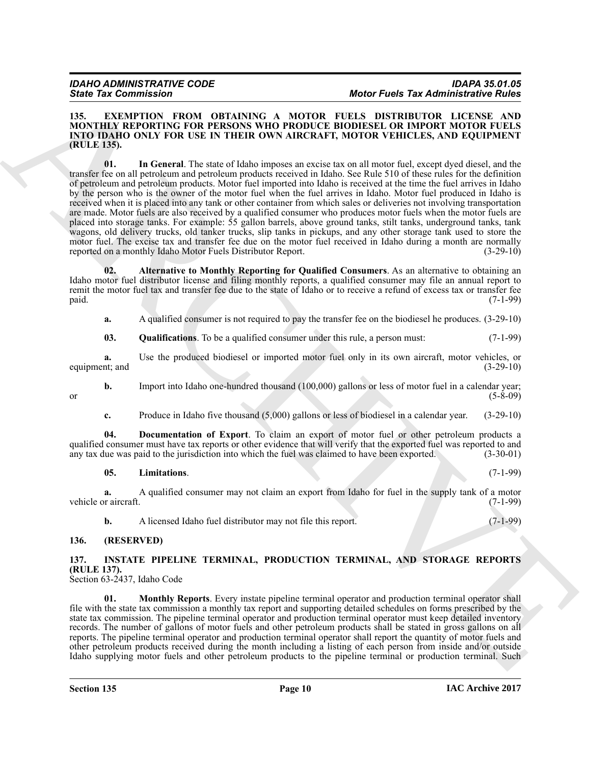### <span id="page-9-6"></span><span id="page-9-3"></span><span id="page-9-0"></span>**135. EXEMPTION FROM OBTAINING A MOTOR FUELS DISTRIBUTOR LICENSE AND MONTHLY REPORTING FOR PERSONS WHO PRODUCE BIODIESEL OR IMPORT MOTOR FUELS INTO IDAHO ONLY FOR USE IN THEIR OWN AIRCRAFT, MOTOR VEHICLES, AND EQUIPMENT (RULE 135).**

Since Tax Commission (MINI) MARCHIVE AND MOVEMUM AND MOVEMUM TRIES TRANSMIT COMPAREMENT (MINI) NORTHAIN THE SINCE IN THE SINCE IN THE SINCE IN THE SINCE IN THE SINCE IN THE SINCE IN THE SINCE IN THE SINCE IN THE SINCE IN **01. In General**. The state of Idaho imposes an excise tax on all motor fuel, except dyed diesel, and the transfer fee on all petroleum and petroleum products received in Idaho. See Rule 510 of these rules for the definition of petroleum and petroleum products. Motor fuel imported into Idaho is received at the time the fuel arrives in Idaho by the person who is the owner of the motor fuel when the fuel arrives in Idaho. Motor fuel produced in Idaho is received when it is placed into any tank or other container from which sales or deliveries not involving transportation are made. Motor fuels are also received by a qualified consumer who produces motor fuels when the motor fuels are placed into storage tanks. For example: 55 gallon barrels, above ground tanks, stilt tanks, underground tanks, tank wagons, old delivery trucks, old tanker trucks, slip tanks in pickups, and any other storage tank used to store the motor fuel. The excise tax and transfer fee due on the motor fuel received in Idaho during a month are normally reported on a monthly Idaho Motor Fuels Distributor Report. (3-29-10)

**02. Alternative to Monthly Reporting for Qualified Consumers**. As an alternative to obtaining an Idaho motor fuel distributor license and filing monthly reports, a qualified consumer may file an annual report to remit the motor fuel tax and transfer fee due to the state of Idaho or to receive a refund of excess tax or transfer fee paid. (7-1-99) paid. (7-1-99)

<span id="page-9-4"></span>**a.** A qualified consumer is not required to pay the transfer fee on the biodiesel he produces. (3-29-10)

<span id="page-9-8"></span>**03.** Qualifications. To be a qualified consumer under this rule, a person must: (7-1-99)

**a.** Use the produced biodiesel or imported motor fuel only in its own aircraft, motor vehicles, or nt; and (3-29-10) equipment; and

**b.** Import into Idaho one-hundred thousand (100,000) gallons or less of motor fuel in a calendar year; (5-8-09) or  $(5-8-09)$ 

<span id="page-9-5"></span>**c.** Produce in Idaho five thousand (5,000) gallons or less of biodiesel in a calendar year. (3-29-10)

**04. Documentation of Export**. To claim an export of motor fuel or other petroleum products a qualified consumer must have tax reports or other evidence that will verify that the exported fuel was reported to and any tax due was paid to the jurisdiction into which the fuel was claimed to have been exported. (3-30-0 any tax due was paid to the jurisdiction into which the fuel was claimed to have been exported.

<span id="page-9-7"></span>**05. Limitations**. (7-1-99)

**a.** A qualified consumer may not claim an export from Idaho for fuel in the supply tank of a motor r aircraft. (7-1-99) vehicle or aircraft.

<span id="page-9-9"></span>**b.** A licensed Idaho fuel distributor may not file this report. (7-1-99)

### <span id="page-9-1"></span>**136. (RESERVED)**

### <span id="page-9-2"></span>**137. INSTATE PIPELINE TERMINAL, PRODUCTION TERMINAL, AND STORAGE REPORTS (RULE 137).**

Section 63-2437, Idaho Code

<span id="page-9-10"></span>**01. Monthly Reports**. Every instate pipeline terminal operator and production terminal operator shall file with the state tax commission a monthly tax report and supporting detailed schedules on forms prescribed by the state tax commission. The pipeline terminal operator and production terminal operator must keep detailed inventory records. The number of gallons of motor fuels and other petroleum products shall be stated in gross gallons on all reports. The pipeline terminal operator and production terminal operator shall report the quantity of motor fuels and other petroleum products received during the month including a listing of each person from inside and/or outside Idaho supplying motor fuels and other petroleum products to the pipeline terminal or production terminal. Such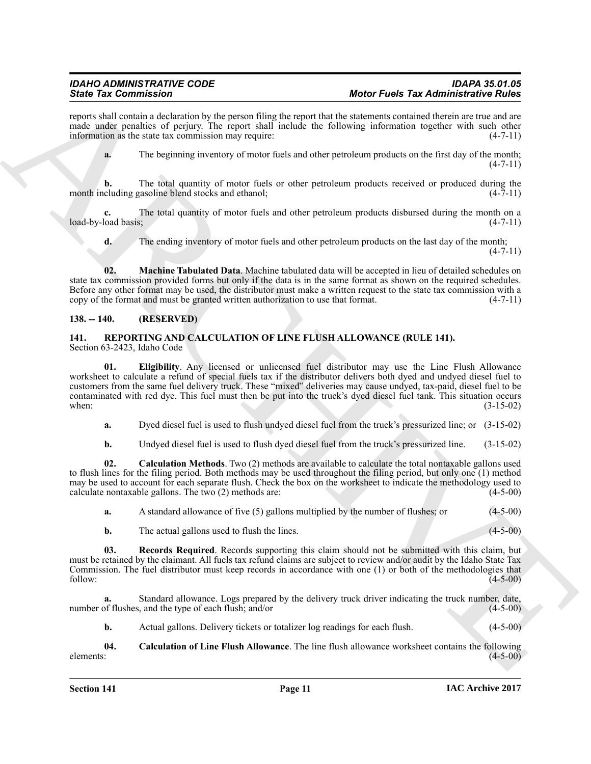reports shall contain a declaration by the person filing the report that the statements contained therein are true and are made under penalties of perjury. The report shall include the following information together with such other information as the state tax commission may require: (4-7-11) information as the state tax commission may require:

**a.** The beginning inventory of motor fuels and other petroleum products on the first day of the month;  $(4 - 7 - 11)$ 

**b.** The total quantity of motor fuels or other petroleum products received or produced during the cluding gasoline blend stocks and ethanol:  $(4-7-11)$ month including gasoline blend stocks and ethanol;

**c.** The total quantity of motor fuels and other petroleum products disbursed during the month on a load basis; (4-7-11) load-by-load basis;

<span id="page-10-2"></span>**d.** The ending inventory of motor fuels and other petroleum products on the last day of the month;  $(4 - 7 - 11)$ 

**02. Machine Tabulated Data**. Machine tabulated data will be accepted in lieu of detailed schedules on state tax commission provided forms but only if the data is in the same format as shown on the required schedules. Before any other format may be used, the distributor must make a written request to the state tax commission with a copy of the format and must be granted written authorization to use that format. (4-7-11) copy of the format and must be granted written authorization to use that format.

### <span id="page-10-0"></span>**138. -- 140. (RESERVED)**

### <span id="page-10-6"></span><span id="page-10-3"></span><span id="page-10-1"></span>**141. REPORTING AND CALCULATION OF LINE FLUSH ALLOWANCE (RULE 141).** Section 63-2423, Idaho Code

Since Tax Commission Control is the procedure of Motor Funds and the first Tax Administration of Rules (and the state of Administration Control in the state of Administration of Administration Control in the state of Admi **01. Eligibility**. Any licensed or unlicensed fuel distributor may use the Line Flush Allowance worksheet to calculate a refund of special fuels tax if the distributor delivers both dyed and undyed diesel fuel to customers from the same fuel delivery truck. These "mixed" deliveries may cause undyed, tax-paid, diesel fuel to be contaminated with red dye. This fuel must then be put into the truck's dyed diesel fuel tank. This situation occurs when: (3-15-02)

**a.** Dyed diesel fuel is used to flush undyed diesel fuel from the truck's pressurized line; or (3-15-02)

<span id="page-10-4"></span>**b.** Undyed diesel fuel is used to flush dyed diesel fuel from the truck's pressurized line. (3-15-02)

**02. Calculation Methods**. Two (2) methods are available to calculate the total nontaxable gallons used to flush lines for the filing period. Both methods may be used throughout the filing period, but only one (1) method may be used to account for each separate flush. Check the box on the worksheet to indicate the methodology used to calculate nontaxable gallons. The two (2) methods are: (4-5-00) calculate nontaxable gallons. The two  $(2)$  methods are:

| $(4-5-00)$<br>A standard allowance of five (5) gallons multiplied by the number of flushes; or<br>a. |  |
|------------------------------------------------------------------------------------------------------|--|
|------------------------------------------------------------------------------------------------------|--|

<span id="page-10-7"></span>**b.** The actual gallons used to flush the lines. (4-5-00)

**03. Records Required**. Records supporting this claim should not be submitted with this claim, but must be retained by the claimant. All fuels tax refund claims are subject to review and/or audit by the Idaho State Tax Commission. The fuel distributor must keep records in accordance with one (1) or both of the methodologies that follow: (4-5-00) follow: (4-5-00)

**a.** Standard allowance. Logs prepared by the delivery truck driver indicating the truck number, date, number of flushes, and the type of each flush; and/or (4-5-00)

<span id="page-10-5"></span>**b.** Actual gallons. Delivery tickets or totalizer log readings for each flush. (4-5-00)

**04.** Calculation of Line Flush Allowance. The line flush allowance worksheet contains the following elements: (4-5-00)  $\epsilon$  (4-5-00) (4-5-00)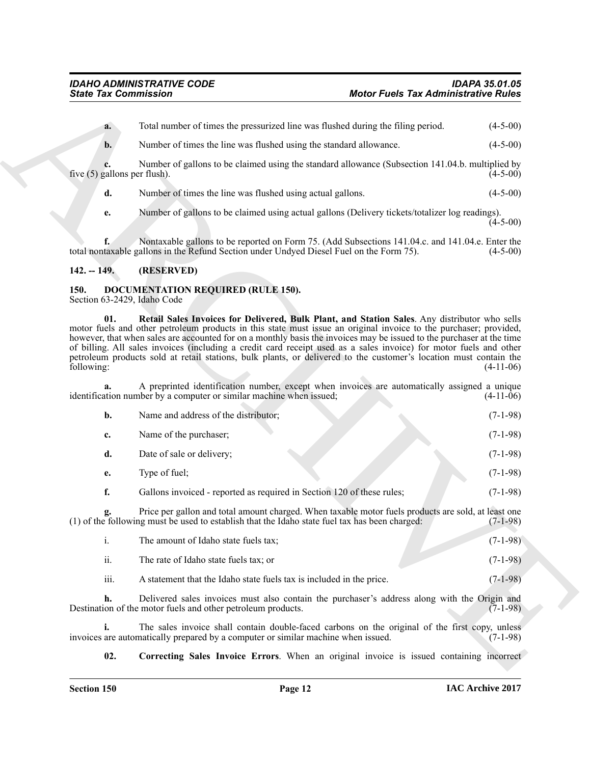### <span id="page-11-0"></span>**142. -- 149. (RESERVED)**

## <span id="page-11-4"></span><span id="page-11-2"></span><span id="page-11-1"></span>**150. DOCUMENTATION REQUIRED (RULE 150).**

| <b>State Tax Commission</b> |                                                                                                                                                                               | <b>Motor Fuels Tax Administrative Rules</b>                                                                                                                                                                                                                                                                                                                                                                                                                                                                                                                                            |             |
|-----------------------------|-------------------------------------------------------------------------------------------------------------------------------------------------------------------------------|----------------------------------------------------------------------------------------------------------------------------------------------------------------------------------------------------------------------------------------------------------------------------------------------------------------------------------------------------------------------------------------------------------------------------------------------------------------------------------------------------------------------------------------------------------------------------------------|-------------|
| a.                          |                                                                                                                                                                               | Total number of times the pressurized line was flushed during the filing period.                                                                                                                                                                                                                                                                                                                                                                                                                                                                                                       | $(4-5-00)$  |
| b.                          | Number of times the line was flushed using the standard allowance.                                                                                                            |                                                                                                                                                                                                                                                                                                                                                                                                                                                                                                                                                                                        | $(4-5-00)$  |
|                             | five $(5)$ gallons per flush).                                                                                                                                                | Number of gallons to be claimed using the standard allowance (Subsection 141.04.b. multiplied by                                                                                                                                                                                                                                                                                                                                                                                                                                                                                       | $(4-5-00)$  |
| d.                          | Number of times the line was flushed using actual gallons.                                                                                                                    |                                                                                                                                                                                                                                                                                                                                                                                                                                                                                                                                                                                        | $(4-5-00)$  |
| e.                          |                                                                                                                                                                               | Number of gallons to be claimed using actual gallons (Delivery tickets/totalizer log readings).                                                                                                                                                                                                                                                                                                                                                                                                                                                                                        | $(4-5-00)$  |
|                             | total nontaxable gallons in the Refund Section under Undyed Diesel Fuel on the Form 75).                                                                                      | Nontaxable gallons to be reported on Form 75. (Add Subsections 141.04.c. and 141.04.e. Enter the                                                                                                                                                                                                                                                                                                                                                                                                                                                                                       | $(4-5-00)$  |
| $142. - 149.$               | (RESERVED)                                                                                                                                                                    |                                                                                                                                                                                                                                                                                                                                                                                                                                                                                                                                                                                        |             |
| 150.                        | <b>DOCUMENTATION REQUIRED (RULE 150).</b><br>Section 63-2429, Idaho Code                                                                                                      |                                                                                                                                                                                                                                                                                                                                                                                                                                                                                                                                                                                        |             |
| 01.<br>following:           |                                                                                                                                                                               | Retail Sales Invoices for Delivered, Bulk Plant, and Station Sales. Any distributor who sells<br>motor fuels and other petroleum products in this state must issue an original invoice to the purchaser; provided,<br>however, that when sales are accounted for on a monthly basis the invoices may be issued to the purchaser at the time<br>of billing. All sales invoices (including a credit card receipt used as a sales invoice) for motor fuels and other<br>petroleum products sold at retail stations, bulk plants, or delivered to the customer's location must contain the | $(4-11-06)$ |
|                             | identification number by a computer or similar machine when issued;                                                                                                           | A preprinted identification number, except when invoices are automatically assigned a unique                                                                                                                                                                                                                                                                                                                                                                                                                                                                                           | $(4-11-06)$ |
| b.                          | Name and address of the distributor;                                                                                                                                          |                                                                                                                                                                                                                                                                                                                                                                                                                                                                                                                                                                                        | $(7-1-98)$  |
| c.                          | Name of the purchaser;                                                                                                                                                        |                                                                                                                                                                                                                                                                                                                                                                                                                                                                                                                                                                                        | $(7-1-98)$  |
| d.                          | Date of sale or delivery;                                                                                                                                                     |                                                                                                                                                                                                                                                                                                                                                                                                                                                                                                                                                                                        | $(7-1-98)$  |
| е.                          | Type of fuel;                                                                                                                                                                 |                                                                                                                                                                                                                                                                                                                                                                                                                                                                                                                                                                                        | $(7-1-98)$  |
| f.                          | Gallons invoiced - reported as required in Section 120 of these rules;                                                                                                        |                                                                                                                                                                                                                                                                                                                                                                                                                                                                                                                                                                                        | $(7-1-98)$  |
|                             | g. Price per gallon and total amount charged. When taxable motor fuels produce (1) of the following must be used to establish that the Idaho state fuel tax has been charged: | Price per gallon and total amount charged. When taxable motor fuels products are sold, at least one                                                                                                                                                                                                                                                                                                                                                                                                                                                                                    | $(7-1-98)$  |
| $\mathbf{i}$ .              | The amount of Idaho state fuels tax;                                                                                                                                          |                                                                                                                                                                                                                                                                                                                                                                                                                                                                                                                                                                                        | $(7-1-98)$  |
| ii.                         | The rate of Idaho state fuels tax; or                                                                                                                                         |                                                                                                                                                                                                                                                                                                                                                                                                                                                                                                                                                                                        | $(7-1-98)$  |
| iii.                        | A statement that the Idaho state fuels tax is included in the price.                                                                                                          |                                                                                                                                                                                                                                                                                                                                                                                                                                                                                                                                                                                        | $(7-1-98)$  |
| h.                          | Destination of the motor fuels and other petroleum products.                                                                                                                  | Delivered sales invoices must also contain the purchaser's address along with the Origin and                                                                                                                                                                                                                                                                                                                                                                                                                                                                                           | $(7-1-98)$  |
| i.                          | invoices are automatically prepared by a computer or similar machine when issued.                                                                                             | The sales invoice shall contain double-faced carbons on the original of the first copy, unless                                                                                                                                                                                                                                                                                                                                                                                                                                                                                         | $(7-1-98)$  |
|                             |                                                                                                                                                                               |                                                                                                                                                                                                                                                                                                                                                                                                                                                                                                                                                                                        |             |

- ii. The rate of Idaho state fuels tax; or (7-1-98)
- <span id="page-11-3"></span>iii. A statement that the Idaho state fuels tax is included in the price.  $(7-1-98)$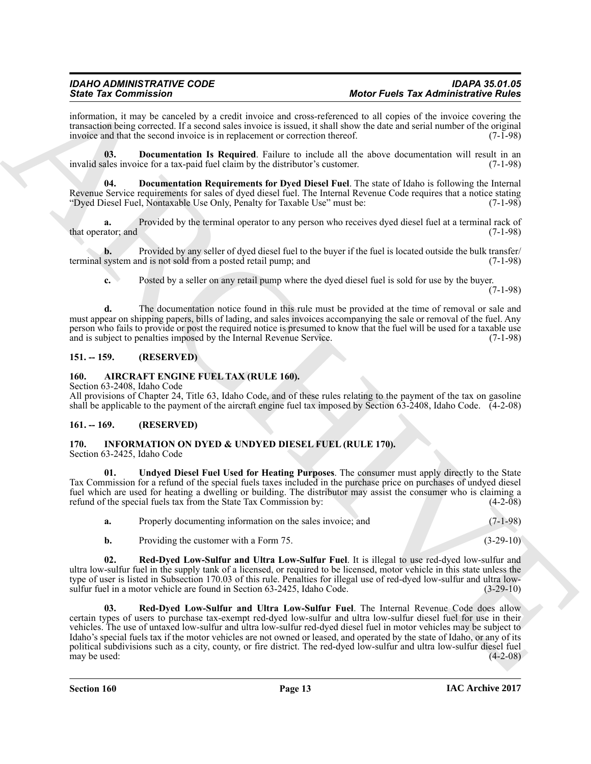information, it may be canceled by a credit invoice and cross-referenced to all copies of the invoice covering the transaction being corrected. If a second sales invoice is issued, it shall show the date and serial number of the original invoice and that the second invoice is in replacement or correction thereof. (7-1-98) invoice and that the second invoice is in replacement or correction thereof.

<span id="page-12-5"></span>**03. Documentation Is Required**. Failure to include all the above documentation will result in an invalid sales invoice for a tax-paid fuel claim by the distributor's customer. (7-1-98)

<span id="page-12-6"></span>**04. Documentation Requirements for Dyed Diesel Fuel**. The state of Idaho is following the Internal Revenue Service requirements for sales of dyed diesel fuel. The Internal Revenue Code requires that a notice stating "Dyed Diesel Fuel, Nontaxable Use Only, Penalty for Taxable Use" must be: (7-1-98)

**a.** Provided by the terminal operator to any person who receives dyed diesel fuel at a terminal rack of ator: and  $(7-1-98)$ that operator; and

**b.** Provided by any seller of dyed diesel fuel to the buyer if the fuel is located outside the bulk transfer/ terminal system and is not sold from a posted retail pump; and (7-1-98)

**c.** Posted by a seller on any retail pump where the dyed diesel fuel is sold for use by the buyer.

(7-1-98)

**d.** The documentation notice found in this rule must be provided at the time of removal or sale and must appear on shipping papers, bills of lading, and sales invoices accompanying the sale or removal of the fuel. Any person who fails to provide or post the required notice is presumed to know that the fuel will be used for a taxable use and is subject to penalties imposed by the Internal Revenue Service. (7-1-98)

### <span id="page-12-0"></span>**151. -- 159. (RESERVED)**

### <span id="page-12-4"></span><span id="page-12-1"></span>**160. AIRCRAFT ENGINE FUEL TAX (RULE 160).**

Section 63-2408, Idaho Code

All provisions of Chapter 24, Title 63, Idaho Code, and of these rules relating to the payment of the tax on gasoline shall be applicable to the payment of the aircraft engine fuel tax imposed by Section 63-2408, Idaho Code. (4-2-08)

### <span id="page-12-7"></span><span id="page-12-2"></span>**161. -- 169. (RESERVED)**

### <span id="page-12-3"></span>**170. INFORMATION ON DYED & UNDYED DIESEL FUEL (RULE 170).**

Section 63-2425, Idaho Code

**01. Undyed Diesel Fuel Used for Heating Purposes**. The consumer must apply directly to the State Tax Commission for a refund of the special fuels taxes included in the purchase price on purchases of undyed diesel fuel which are used for heating a dwelling or building. The distributor may assist the consumer who is claiming a refund of the special fuels tax from the State Tax Commission by: (4-2-08) refund of the special fuels tax from the State Tax Commission by:

<span id="page-12-9"></span>

| Properly documenting information on the sales invoice; and<br>а. |  | $(7-1-98)$ |
|------------------------------------------------------------------|--|------------|
|------------------------------------------------------------------|--|------------|

<span id="page-12-10"></span><span id="page-12-8"></span>**b.** Providing the customer with a Form 75. (3-29-10)

**02. Red-Dyed Low-Sulfur and Ultra Low-Sulfur Fuel**. It is illegal to use red-dyed low-sulfur and ultra low-sulfur fuel in the supply tank of a licensed, or required to be licensed, motor vehicle in this state unless the type of user is listed in Subsection 170.03 of this rule. Penalties for illegal use of red-dyed low-sulfur and ultra low-<br>sulfur fuel in a motor vehicle are found in Section 63-2425, Idaho Code. (3-29-10) sulfur fuel in a motor vehicle are found in Section 63-2425, Idaho Code.

Since Tax Commission. The constraints are all same scheme of the Fact Tax Laboratoric Rain and the scheme of the scheme of the scheme of the scheme of the scheme of the scheme of the scheme of the scheme of the scheme of **03. Red-Dyed Low-Sulfur and Ultra Low-Sulfur Fuel**. The Internal Revenue Code does allow certain types of users to purchase tax-exempt red-dyed low-sulfur and ultra low-sulfur diesel fuel for use in their vehicles. The use of untaxed low-sulfur and ultra low-sulfur red-dyed diesel fuel in motor vehicles may be subject to Idaho's special fuels tax if the motor vehicles are not owned or leased, and operated by the state of Idaho, or any of its political subdivisions such as a city, county, or fire district. The red-dyed low-sulfur and ultra low-sulfur diesel fuel may be used: (4-2-08) may be used:  $(4-2-08)$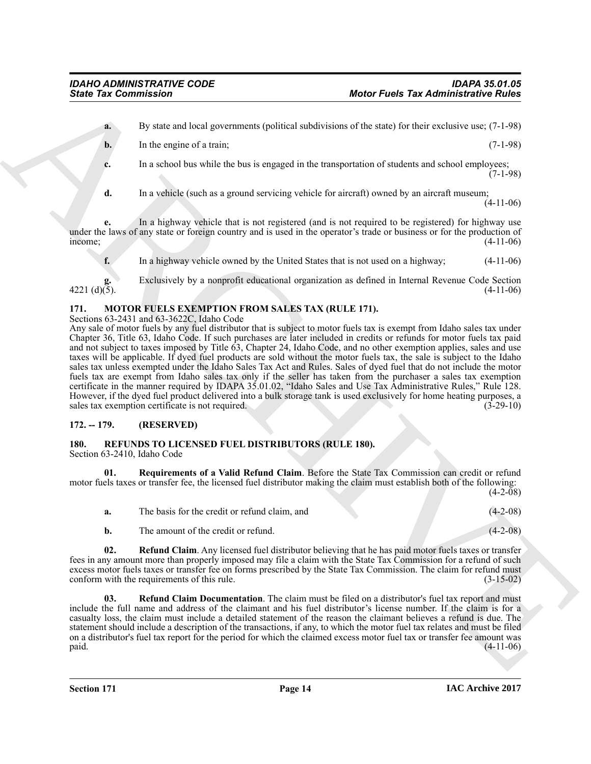**a.** By state and local governments (political subdivisions of the state) for their exclusive use; (7-1-98)

- **b.** In the engine of a train; (7-1-98)
- **c.** In a school bus while the bus is engaged in the transportation of students and school employees;  $(7-1-98)$
- **d.** In a vehicle (such as a ground servicing vehicle for aircraft) owned by an aircraft museum; (4-11-06)

**e.** In a highway vehicle that is not registered (and is not required to be registered) for highway use under the laws of any state or foreign country and is used in the operator's trade or business or for the production of income;<br>(4-11-06)  $i$  income;  $(4-11-06)$ 

**f.** In a highway vehicle owned by the United States that is not used on a highway; (4-11-06)

**g.** Exclusively by a nonprofit educational organization as defined in Internal Revenue Code Section  $\frac{g}{d}$ . Expressively by a nonprofit curvational organization as defined in internal Kevenue Code Section (4-11-06)

### <span id="page-13-3"></span><span id="page-13-0"></span>**171. MOTOR FUELS EXEMPTION FROM SALES TAX (RULE 171).**

Sections 63-2431 and 63-3622C, Idaho Code

Since Tax Commission<br>
By that we are not as a speculation of the same of the same of the same of the same of the same<br>  $\kappa$  the same of the same of the same<br>  $\kappa$  the same of the same<br>  $\kappa$  the same of the same<br>  $\kappa$  Any sale of motor fuels by any fuel distributor that is subject to motor fuels tax is exempt from Idaho sales tax under Chapter 36, Title 63, Idaho Code. If such purchases are later included in credits or refunds for motor fuels tax paid and not subject to taxes imposed by Title 63, Chapter 24, Idaho Code, and no other exemption applies, sales and use taxes will be applicable. If dyed fuel products are sold without the motor fuels tax, the sale is subject to the Idaho sales tax unless exempted under the Idaho Sales Tax Act and Rules. Sales of dyed fuel that do not include the motor fuels tax are exempt from Idaho sales tax only if the seller has taken from the purchaser a sales tax exemption certificate in the manner required by IDAPA 35.01.02, "Idaho Sales and Use Tax Administrative Rules," Rule 128. However, if the dyed fuel product delivered into a bulk storage tank is used exclusively for home heating purposes, a sales tax exemption certificate is not required. (3-29-10)

### <span id="page-13-1"></span>**172. -- 179. (RESERVED)**

### <span id="page-13-4"></span><span id="page-13-2"></span>**180. REFUNDS TO LICENSED FUEL DISTRIBUTORS (RULE 180).**

Section 63-2410, Idaho Code

**01. Requirements of a Valid Refund Claim**. Before the State Tax Commission can credit or refund motor fuels taxes or transfer fee, the licensed fuel distributor making the claim must establish both of the following:  $(4 - 2 - 08)$ 

<span id="page-13-7"></span><span id="page-13-5"></span>

| The basis for the credit or refund claim, and | $(4-2-08)$ |
|-----------------------------------------------|------------|
| The amount of the credit or refund.           | $(4-2-08)$ |

**02. Refund Claim**. Any licensed fuel distributor believing that he has paid motor fuels taxes or transfer fees in any amount more than properly imposed may file a claim with the State Tax Commission for a refund of such excess motor fuels taxes or transfer fee on forms prescribed by the State Tax Commission. The claim for refund must conform with the requirements of this rule. (3-15-02)

<span id="page-13-6"></span>**03. Refund Claim Documentation**. The claim must be filed on a distributor's fuel tax report and must include the full name and address of the claimant and his fuel distributor's license number. If the claim is for a casualty loss, the claim must include a detailed statement of the reason the claimant believes a refund is due. The statement should include a description of the transactions, if any, to which the motor fuel tax relates and must be filed on a distributor's fuel tax report for the period for which the claimed excess motor fuel tax or transfer fee amount was paid. (4-11-06)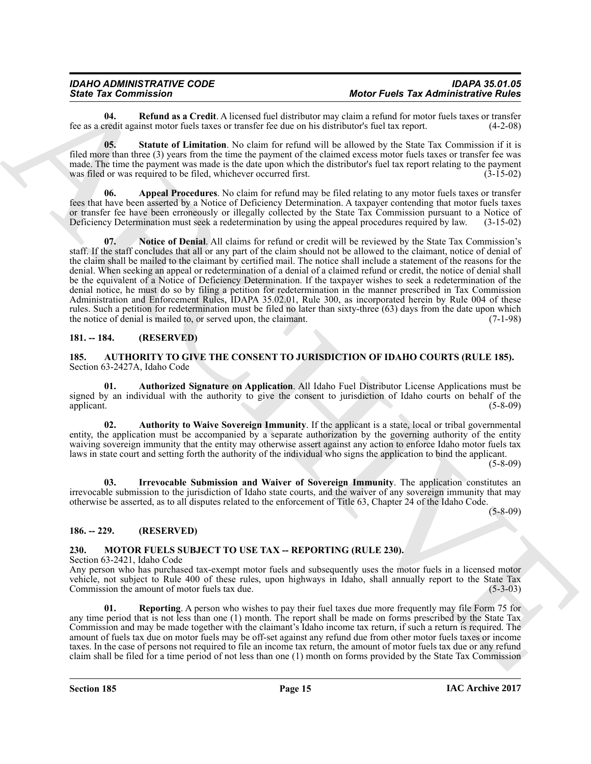<span id="page-14-12"></span>**04. Refund as a Credit**. A licensed fuel distributor may claim a refund for motor fuels taxes or transfer redit against motor fuels taxes or transfer fee due on his distributor's fuel tax report. (4-2-08) fee as a credit against motor fuels taxes or transfer fee due on his distributor's fuel tax report.

<span id="page-14-13"></span>**05. Statute of Limitation**. No claim for refund will be allowed by the State Tax Commission if it is filed more than three (3) years from the time the payment of the claimed excess motor fuels taxes or transfer fee was made. The time the payment was made is the date upon which the distributor's fuel tax report relating to the payment was filed or was required to be filed, whichever occurred first. (3-15-02) was filed or was required to be filed, whichever occurred first.

<span id="page-14-11"></span><span id="page-14-10"></span>**06. Appeal Procedures**. No claim for refund may be filed relating to any motor fuels taxes or transfer fees that have been asserted by a Notice of Deficiency Determination. A taxpayer contending that motor fuels taxes or transfer fee have been erroneously or illegally collected by the State Tax Commission pursuant to a Notice of Deficiency Determination must seek a redetermination by using the appeal procedures required by law. (3-15-02 Deficiency Determination must seek a redetermination by using the appeal procedures required by law.

Since The Commission  $\mu$ . Note that such a state of the first The Law Since The Administration of the Since Commission of the Since Commission of the Since Commission of the Since Commission of the Since Commission of th **07. Notice of Denial**. All claims for refund or credit will be reviewed by the State Tax Commission's staff. If the staff concludes that all or any part of the claim should not be allowed to the claimant, notice of denial of the claim shall be mailed to the claimant by certified mail. The notice shall include a statement of the reasons for the denial. When seeking an appeal or redetermination of a denial of a claimed refund or credit, the notice of denial shall be the equivalent of a Notice of Deficiency Determination. If the taxpayer wishes to seek a redetermination of the denial notice, he must do so by filing a petition for redetermination in the manner prescribed in Tax Commission Administration and Enforcement Rules, IDAPA 35.02.01, Rule 300, as incorporated herein by Rule 004 of these rules. Such a petition for redetermination must be filed no later than sixty-three (63) days from the date upon which the notice of denial is mailed to, or served upon, the claimant. (7-1-98) the notice of denial is mailed to, or served upon, the claimant.

### <span id="page-14-0"></span>**181. -- 184. (RESERVED)**

<span id="page-14-4"></span><span id="page-14-1"></span>**185. AUTHORITY TO GIVE THE CONSENT TO JURISDICTION OF IDAHO COURTS (RULE 185).** Section 63-2427A, Idaho Code

<span id="page-14-6"></span>**01. Authorized Signature on Application**. All Idaho Fuel Distributor License Applications must be signed by an individual with the authority to give the consent to jurisdiction of Idaho courts on behalf of the applicant. (5-8-09) applicant. (5-8-09)

<span id="page-14-5"></span>**02. Authority to Waive Sovereign Immunity**. If the applicant is a state, local or tribal governmental entity, the application must be accompanied by a separate authorization by the governing authority of the entity waiving sovereign immunity that the entity may otherwise assert against any action to enforce Idaho motor fuels tax laws in state court and setting forth the authority of the individual who signs the application to bind the applicant.

(5-8-09)

<span id="page-14-7"></span>**03. Irrevocable Submission and Waiver of Sovereign Immunity**. The application constitutes an irrevocable submission to the jurisdiction of Idaho state courts, and the waiver of any sovereign immunity that may otherwise be asserted, as to all disputes related to the enforcement of Title 63, Chapter 24 of the Idaho Code.

(5-8-09)

### <span id="page-14-2"></span>**186. -- 229. (RESERVED)**

### <span id="page-14-8"></span><span id="page-14-3"></span>**230. MOTOR FUELS SUBJECT TO USE TAX -- REPORTING (RULE 230).**

Section 63-2421, Idaho Code

Any person who has purchased tax-exempt motor fuels and subsequently uses the motor fuels in a licensed motor vehicle, not subject to Rule 400 of these rules, upon highways in Idaho, shall annually report to the State Tax<br>Commission the amount of motor fuels tax due. (5-3-03) Commission the amount of motor fuels tax due.

<span id="page-14-9"></span>**01. Reporting**. A person who wishes to pay their fuel taxes due more frequently may file Form 75 for any time period that is not less than one (1) month. The report shall be made on forms prescribed by the State Tax Commission and may be made together with the claimant's Idaho income tax return, if such a return is required. The amount of fuels tax due on motor fuels may be off-set against any refund due from other motor fuels taxes or income taxes. In the case of persons not required to file an income tax return, the amount of motor fuels tax due or any refund claim shall be filed for a time period of not less than one (1) month on forms provided by the State Tax Commission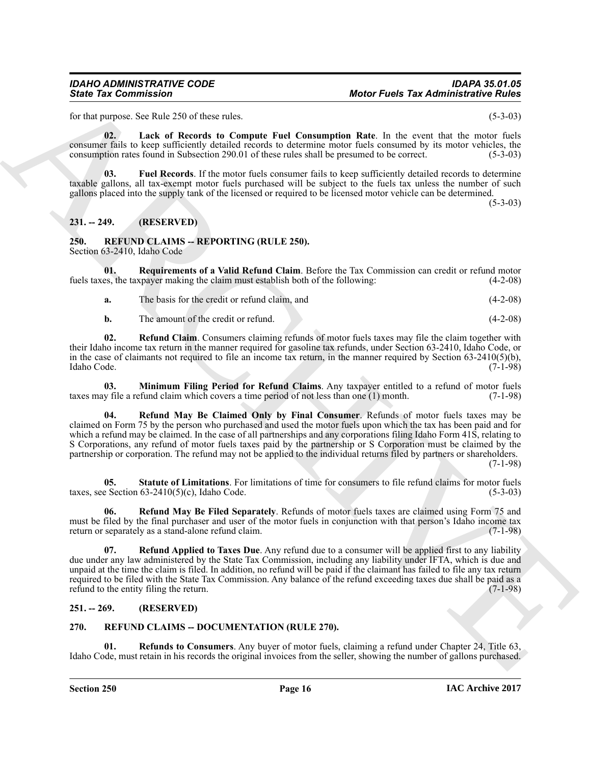for that purpose. See Rule 250 of these rules. (5-3-03)

<span id="page-15-5"></span>**02. Lack of Records to Compute Fuel Consumption Rate**. In the event that the motor fuels consumer fails to keep sufficiently detailed records to determine motor fuels consumed by its motor vehicles, the consumption rates found in Subsection 290.01 of these rules shall be presumed to be correct. (5-3-03)

<span id="page-15-4"></span>**03. Fuel Records**. If the motor fuels consumer fails to keep sufficiently detailed records to determine taxable gallons, all tax-exempt motor fuels purchased will be subject to the fuels tax unless the number of such gallons placed into the supply tank of the licensed or required to be licensed motor vehicle can be determined.  $(5-3-03)$ 

### <span id="page-15-0"></span>**231. -- 249. (RESERVED)**

### <span id="page-15-6"></span><span id="page-15-1"></span>**250. REFUND CLAIMS -- REPORTING (RULE 250).** Section 63-2410, Idaho Code

**01.** Requirements of a Valid Refund Claim. Before the Tax Commission can credit or refund motor es, the taxpayer making the claim must establish both of the following: (4-2-08) fuels taxes, the taxpayer making the claim must establish both of the following:

- <span id="page-15-12"></span>**a.** The basis for the credit or refund claim, and (4-2-08)
- <span id="page-15-9"></span><span id="page-15-7"></span>**b.** The amount of the credit or refund. (4-2-08)

**02. Refund Claim**. Consumers claiming refunds of motor fuels taxes may file the claim together with their Idaho income tax return in the manner required for gasoline tax refunds, under Section 63-2410, Idaho Code, or in the case of claimants not required to file an income tax return, in the manner required by Section 63-2410(5)(b), Idaho Code.  $(7-1-98)$ Idaho Code. (7-1-98)

<span id="page-15-10"></span>**03. Minimum Filing Period for Refund Claims**. Any taxpayer entitled to a refund of motor fuels y file a refund claim which covers a time period of not less than one (1) month. (7-1-98) taxes may file a refund claim which covers a time period of not less than one (1) month.

Since Tax Commission<br>
Let the 200 of the relationship and the commission and the state of the state of the state of the state of the state of the state of the state of the state of the state of the state of the state of t **04. Refund May Be Claimed Only by Final Consumer**. Refunds of motor fuels taxes may be claimed on Form 75 by the person who purchased and used the motor fuels upon which the tax has been paid and for which a refund may be claimed. In the case of all partnerships and any corporations filing Idaho Form 41S, relating to S Corporations, any refund of motor fuels taxes paid by the partnership or S Corporation must be claimed by the partnership or corporation. The refund may not be applied to the individual returns filed by partners or shareholders.

(7-1-98)

<span id="page-15-13"></span>**05.** Statute of Limitations. For limitations of time for consumers to file refund claims for motor fuels e Section 63-2410(5)(c). Idaho Code. (5-3-03) taxes, see Section  $63-2410(5)(c)$ , Idaho Code.

<span id="page-15-11"></span>**06. Refund May Be Filed Separately**. Refunds of motor fuels taxes are claimed using Form 75 and must be filed by the final purchaser and user of the motor fuels in conjunction with that person's Idaho income tax return or separately as a stand-alone refund claim. return or separately as a stand-alone refund claim.

<span id="page-15-8"></span>**07. Refund Applied to Taxes Due**. Any refund due to a consumer will be applied first to any liability due under any law administered by the State Tax Commission, including any liability under IFTA, which is due and unpaid at the time the claim is filed. In addition, no refund will be paid if the claimant has failed to file any tax return required to be filed with the State Tax Commission. Any balance of the refund exceeding taxes due shall be paid as a refund to the entity filing the return. refund to the entity filing the return.

### <span id="page-15-2"></span>**251. -- 269. (RESERVED)**

### <span id="page-15-14"></span><span id="page-15-3"></span>**270. REFUND CLAIMS -- DOCUMENTATION (RULE 270).**

<span id="page-15-15"></span>**01. Refunds to Consumers**. Any buyer of motor fuels, claiming a refund under Chapter 24, Title 63, Idaho Code, must retain in his records the original invoices from the seller, showing the number of gallons purchased.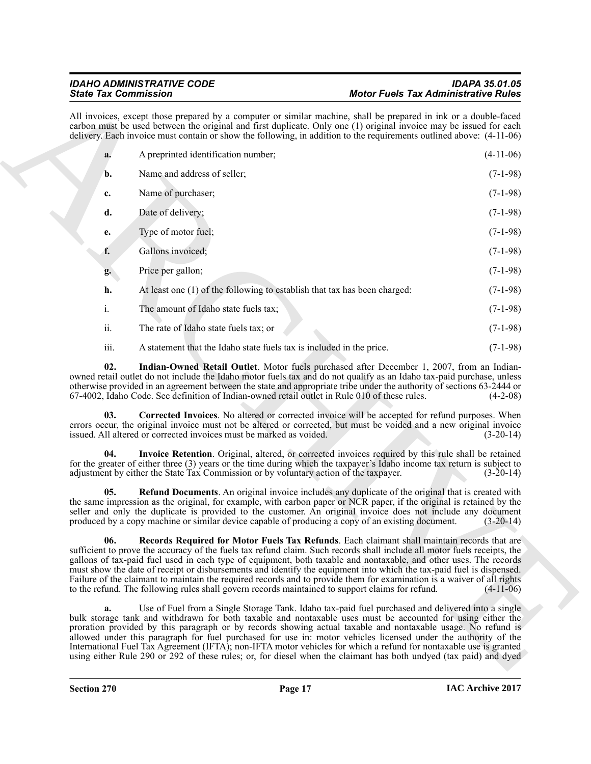<span id="page-16-4"></span><span id="page-16-3"></span><span id="page-16-2"></span><span id="page-16-1"></span><span id="page-16-0"></span>

|      | <b>State Tax Commission</b>                                                                       | <b>Motor Fuels Tax Administrative Rules</b>                                                                                                                                                                                                                                                                                                                                                                                                                                                                                                                                                                   |
|------|---------------------------------------------------------------------------------------------------|---------------------------------------------------------------------------------------------------------------------------------------------------------------------------------------------------------------------------------------------------------------------------------------------------------------------------------------------------------------------------------------------------------------------------------------------------------------------------------------------------------------------------------------------------------------------------------------------------------------|
|      |                                                                                                   | All invoices, except those prepared by a computer or similar machine, shall be prepared in ink or a double-faced<br>carbon must be used between the original and first duplicate. Only one (1) original invoice may be issued for each<br>delivery. Each invoice must contain or show the following, in addition to the requirements outlined above: (4-11-06)                                                                                                                                                                                                                                                |
| a.   | A preprinted identification number;                                                               | $(4-11-06)$                                                                                                                                                                                                                                                                                                                                                                                                                                                                                                                                                                                                   |
| b.   | Name and address of seller;                                                                       | $(7-1-98)$                                                                                                                                                                                                                                                                                                                                                                                                                                                                                                                                                                                                    |
| c.   | Name of purchaser;                                                                                | $(7-1-98)$                                                                                                                                                                                                                                                                                                                                                                                                                                                                                                                                                                                                    |
| d.   | Date of delivery;                                                                                 | $(7-1-98)$                                                                                                                                                                                                                                                                                                                                                                                                                                                                                                                                                                                                    |
| e.   | Type of motor fuel;                                                                               | $(7-1-98)$                                                                                                                                                                                                                                                                                                                                                                                                                                                                                                                                                                                                    |
| f.   | Gallons invoiced;                                                                                 | $(7-1-98)$                                                                                                                                                                                                                                                                                                                                                                                                                                                                                                                                                                                                    |
| g.   | Price per gallon;                                                                                 | $(7-1-98)$                                                                                                                                                                                                                                                                                                                                                                                                                                                                                                                                                                                                    |
| h.   | At least one (1) of the following to establish that tax has been charged:                         | $(7-1-98)$                                                                                                                                                                                                                                                                                                                                                                                                                                                                                                                                                                                                    |
| i.   | The amount of Idaho state fuels tax;                                                              | $(7-1-98)$                                                                                                                                                                                                                                                                                                                                                                                                                                                                                                                                                                                                    |
| ii.  | The rate of Idaho state fuels tax; or                                                             | $(7-1-98)$                                                                                                                                                                                                                                                                                                                                                                                                                                                                                                                                                                                                    |
| iii. | A statement that the Idaho state fuels tax is included in the price.                              | $(7-1-98)$                                                                                                                                                                                                                                                                                                                                                                                                                                                                                                                                                                                                    |
| 02.  | 67-4002, Idaho Code. See definition of Indian-owned retail outlet in Rule 010 of these rules.     | Indian-Owned Retail Outlet. Motor fuels purchased after December 1, 2007, from an Indian-<br>owned retail outlet do not include the Idaho motor fuels tax and do not qualify as an Idaho tax-paid purchase, unless<br>otherwise provided in an agreement between the state and appropriate tribe under the authority of sections 63-2444 or<br>$(4-2-08)$                                                                                                                                                                                                                                                     |
| 03.  | issued. All altered or corrected invoices must be marked as voided.                               | Corrected Invoices. No altered or corrected invoice will be accepted for refund purposes. When<br>errors occur, the original invoice must not be altered or corrected, but must be voided and a new original invoice<br>$(3-20-14)$                                                                                                                                                                                                                                                                                                                                                                           |
| 04.  | adjustment by either the State Tax Commission or by voluntary action of the taxpayer.             | Invoice Retention. Original, altered, or corrected invoices required by this rule shall be retained<br>for the greater of either three (3) years or the time during which the taxpayer's Idaho income tax return is subject to<br>$(3-20-14)$                                                                                                                                                                                                                                                                                                                                                                 |
| 05.  | produced by a copy machine or similar device capable of producing a copy of an existing document. | <b>Refund Documents</b> . An original invoice includes any duplicate of the original that is created with<br>the same impression as the original, for example, with carbon paper or NCR paper, if the original is retained by the<br>seller and only the duplicate is provided to the customer. An original invoice does not include any document<br>$(3-20-14)$                                                                                                                                                                                                                                              |
| 06.  | to the refund. The following rules shall govern records maintained to support claims for refund.  | Records Required for Motor Fuels Tax Refunds. Each claimant shall maintain records that are<br>sufficient to prove the accuracy of the fuels tax refund claim. Such records shall include all motor fuels receipts, the<br>gallons of tax-paid fuel used in each type of equipment, both taxable and nontaxable, and other uses. The records<br>must show the date of receipt or disbursements and identify the equipment into which the tax-paid fuel is dispensed.<br>Failure of the claimant to maintain the required records and to provide them for examination is a waiver of all rights<br>$(4-11-06)$ |
| a.   |                                                                                                   | Use of Fuel from a Single Storage Tank. Idaho tax-paid fuel purchased and delivered into a single<br>bulk storage tank and withdrawn for both taxable and nontaxable uses must be accounted for using either the<br>proration provided by this paragraph or by records showing actual taxable and nontaxable usage. No refund is<br>allowed under this paragraph for fuel purchased for use in: motor vehicles licensed under the authority of the<br>International Fuel Tax Agreement (IFTA); non-IFTA motor vehicles for which a refund for nontaxable use is granted                                       |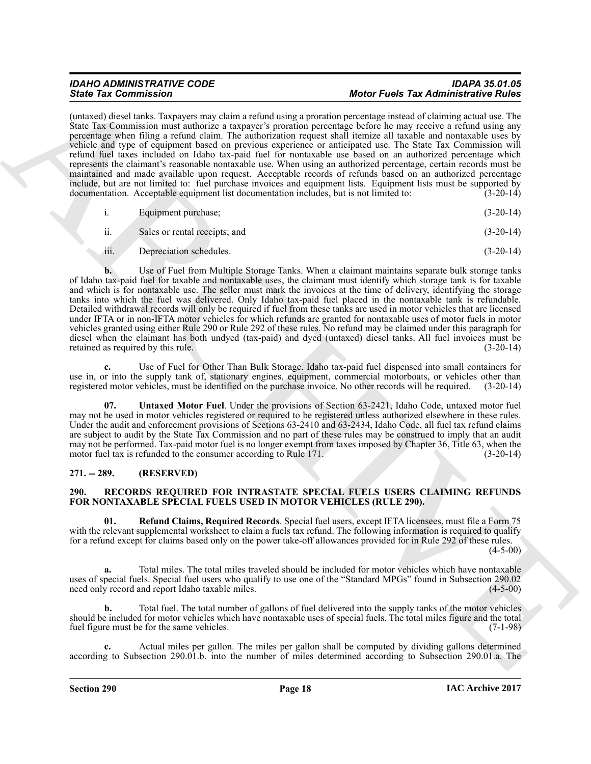### *IDAHO ADMINISTRATIVE CODE IDAPA 35.01.05 State Tax Commission Motor Fuels Tax Administrative Rules*

(untaxed) diesel tanks. Taxpayers may claim a refund using a proration percentage instead of claiming actual use. The State Tax Commission must authorize a taxpayer's proration percentage before he may receive a refund using any percentage when filing a refund claim. The authorization request shall itemize all taxable and nontaxable uses by vehicle and type of equipment based on previous experience or anticipated use. The State Tax Commission will refund fuel taxes included on Idaho tax-paid fuel for nontaxable use based on an authorized percentage which represents the claimant's reasonable nontaxable use. When using an authorized percentage, certain records must be maintained and made available upon request. Acceptable records of refunds based on an authorized percentage include, but are not limited to: fuel purchase invoices and equipment lists. Equipment lists must be supported by documentation. Acceptable equipment list documentation includes, but is not limited to: (3-20-14)

|               | Equipment purchase;           | $(3-20-14)$ |
|---------------|-------------------------------|-------------|
| $\cdot \cdot$ | Sales or rental receipts; and | $(3-20-14)$ |

iii. Depreciation schedules. (3-20-14)

Since Tax Commission in the state of the state of the first Tax Commission in the state of the state of the state of the state of the state of the state of the state of the state of the state of the state of the state of **b.** Use of Fuel from Multiple Storage Tanks. When a claimant maintains separate bulk storage tanks of Idaho tax-paid fuel for taxable and nontaxable uses, the claimant must identify which storage tank is for taxable and which is for nontaxable use. The seller must mark the invoices at the time of delivery, identifying the storage tanks into which the fuel was delivered. Only Idaho tax-paid fuel placed in the nontaxable tank is refundable. Detailed withdrawal records will only be required if fuel from these tanks are used in motor vehicles that are licensed under IFTA or in non-IFTA motor vehicles for which refunds are granted for nontaxable uses of motor fuels in motor vehicles granted using either Rule 290 or Rule 292 of these rules. No refund may be claimed under this paragraph for diesel when the claimant has both undyed (tax-paid) and dyed (untaxed) diesel tanks. All fuel invoices must be retained as required by this rule. (3-20-14) retained as required by this rule.

**c.** Use of Fuel for Other Than Bulk Storage. Idaho tax-paid fuel dispensed into small containers for use in, or into the supply tank of, stationary engines, equipment, commercial motorboats, or vehicles other than registered motor vehicles, must be identified on the purchase invoice. No other records will be required. (3registered motor vehicles, must be identified on the purchase invoice. No other records will be required.

<span id="page-17-4"></span>Untaxed Motor Fuel. Under the provisions of Section 63-2421, Idaho Code, untaxed motor fuel may not be used in motor vehicles registered or required to be registered unless authorized elsewhere in these rules. Under the audit and enforcement provisions of Sections 63-2410 and 63-2434, Idaho Code, all fuel tax refund claims are subject to audit by the State Tax Commission and no part of these rules may be construed to imply that an audit may not be performed. Tax-paid motor fuel is no longer exempt from taxes imposed by Chapter 36, Title 63, when the motor fuel tax is refunded to the consumer according to Rule 171. (3-20-14)

### <span id="page-17-0"></span>**271. -- 289. (RESERVED)**

### <span id="page-17-2"></span><span id="page-17-1"></span>**290. RECORDS REQUIRED FOR INTRASTATE SPECIAL FUELS USERS CLAIMING REFUNDS FOR NONTAXABLE SPECIAL FUELS USED IN MOTOR VEHICLES (RULE 290).**

<span id="page-17-3"></span>**01. Refund Claims, Required Records**. Special fuel users, except IFTA licensees, must file a Form 75 with the relevant supplemental worksheet to claim a fuels tax refund. The following information is required to qualify for a refund except for claims based only on the power take-off allowances provided for in Rule 292 of these rules.  $(4 - 5 - 00)$ 

**a.** Total miles. The total miles traveled should be included for motor vehicles which have nontaxable uses of special fuels. Special fuel users who qualify to use one of the "Standard MPGs" found in Subsection 290.02 need only record and report Idaho taxable miles. (4-5-00) need only record and report Idaho taxable miles.

**b.** Total fuel. The total number of gallons of fuel delivered into the supply tanks of the motor vehicles should be included for motor vehicles which have nontaxable uses of special fuels. The total miles figure and the total fuel figure must be for the same vehicles. fuel figure must be for the same vehicles.

**c.** Actual miles per gallon. The miles per gallon shall be computed by dividing gallons determined according to Subsection 290.01.b. into the number of miles determined according to Subsection 290.01.a. The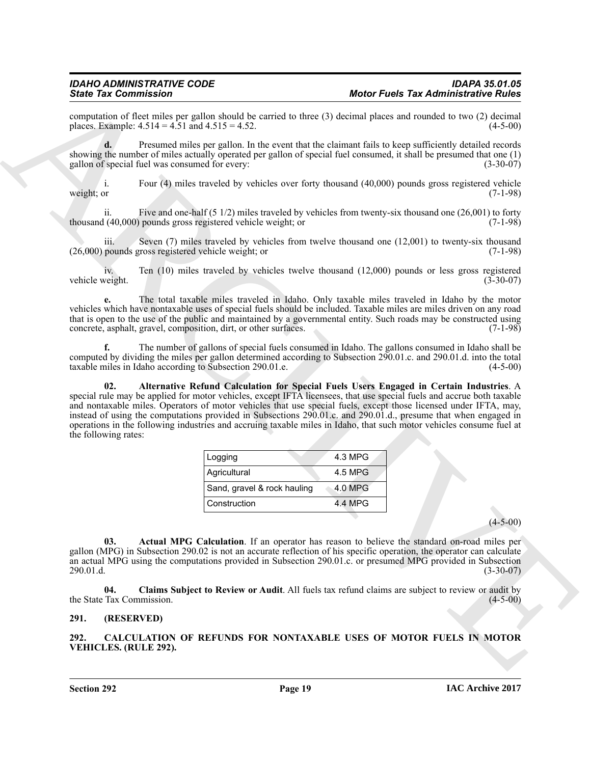computation of fleet miles per gallon should be carried to three (3) decimal places and rounded to two (2) decimal places. Example:  $4.514 = 4.51$  and  $4.515 = 4.52$ . (4-5-00) places. Example:  $4.514 = 4.51$  and  $4.515 = 4.52$ .

**d.** Presumed miles per gallon. In the event that the claimant fails to keep sufficiently detailed records showing the number of miles actually operated per gallon of special fuel consumed, it shall be presumed that one (1) gallon of special fuel was consumed for every: (3-30-07)

i. Four (4) miles traveled by vehicles over forty thousand (40,000) pounds gross registered vehicle weight; or  $(7-1-98)$ 

ii. Five and one-half (5 1/2) miles traveled by vehicles from twenty-six thousand one (26,001) to forty  $(40,000)$  pounds gross registered vehicle weight; or  $(7-1-98)$ thousand (40,000) pounds gross registered vehicle weight; or

Seven  $(7)$  miles traveled by vehicles from twelve thousand one  $(12,001)$  to twenty-six thousand (26,000) pounds gross registered vehicle weight; or (7-1-98)

iv. Ten (10) miles traveled by vehicles twelve thousand (12,000) pounds or less gross registered vehicle weight.

**e.** The total taxable miles traveled in Idaho. Only taxable miles traveled in Idaho by the motor vehicles which have nontaxable uses of special fuels should be included. Taxable miles are miles driven on any road that is open to the use of the public and maintained by a governmental entity. Such roads may be constructed using concrete, asphalt, gravel, composition, dirt, or other surfaces. (7-1-98) concrete, asphalt, gravel, composition, dirt, or other surfaces.

<span id="page-18-4"></span>**f.** The number of gallons of special fuels consumed in Idaho. The gallons consumed in Idaho shall be computed by dividing the miles per gallon determined according to Subsection 290.01.c. and 290.01.d. into the total taxable miles in Idaho according to Subsection 290.01.e. (4-5-00) taxable miles in Idaho according to Subsection 290.01.e.

Since Tax Commission in The main algorithm and the state of the state of the state of the state of the state of the state of the state of the state of the state of the state of the state of the state of the state of the s **02. Alternative Refund Calculation for Special Fuels Users Engaged in Certain Industries**. A special rule may be applied for motor vehicles, except IFTA licensees, that use special fuels and accrue both taxable and nontaxable miles. Operators of motor vehicles that use special fuels, except those licensed under IFTA, may, instead of using the computations provided in Subsections 290.01.c. and 290.01.d., presume that when engaged in operations in the following industries and accruing taxable miles in Idaho, that such motor vehicles consume fuel at the following rates:

| Logging                     | 4.3 MPG |
|-----------------------------|---------|
| Agricultural                | 4.5 MPG |
| Sand, gravel & rock hauling | 4.0 MPG |
| Construction                | 4.4 MPG |

 $(4-5-00)$ 

<span id="page-18-3"></span>**03. Actual MPG Calculation**. If an operator has reason to believe the standard on-road miles per gallon (MPG) in Subsection 290.02 is not an accurate reflection of his specific operation, the operator can calculate an actual MPG using the computations provided in Subsection 290.01.c. or presumed MPG provided in Subsection 290.01.d. (3-30-07)

<span id="page-18-5"></span>**04. Claims Subject to Review or Audit**. All fuels tax refund claims are subject to review or audit by the State Tax Commission.

### <span id="page-18-0"></span>**291. (RESERVED)**

<span id="page-18-2"></span><span id="page-18-1"></span>**292. CALCULATION OF REFUNDS FOR NONTAXABLE USES OF MOTOR FUELS IN MOTOR VEHICLES. (RULE 292).**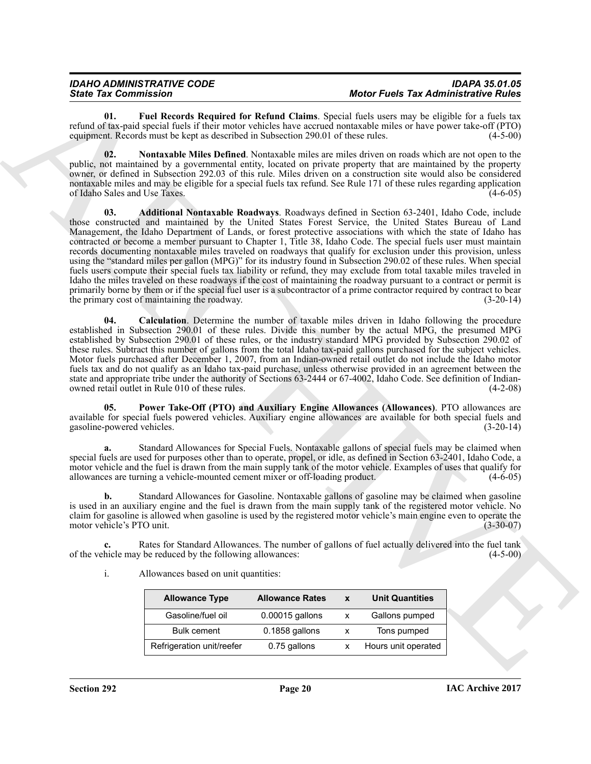<span id="page-19-2"></span>**01. Fuel Records Required for Refund Claims**. Special fuels users may be eligible for a fuels tax refund of tax-paid special fuels if their motor vehicles have accrued nontaxable miles or have power take-off (PTO) equipment. Records must be kept as described in Subsection 290.01 of these rules. (4-5-00)

<span id="page-19-3"></span><span id="page-19-0"></span>**02. Nontaxable Miles Defined**. Nontaxable miles are miles driven on roads which are not open to the public, not maintained by a governmental entity, located on private property that are maintained by the property owner, or defined in Subsection 292.03 of this rule. Miles driven on a construction site would also be considered nontaxable miles and may be eligible for a special fuels tax refund. See Rule 171 of these rules regarding application of Idaho Sales and Use Taxes. (4-6-05)

Since Tax Commission in the University of the Relative Chains. Special and the Relative Relative Relative Chains are considered to the University of the University of the University of the University of the University of **03. Additional Nontaxable Roadways**. Roadways defined in Section 63-2401, Idaho Code, include those constructed and maintained by the United States Forest Service, the United States Bureau of Land Management, the Idaho Department of Lands, or forest protective associations with which the state of Idaho has contracted or become a member pursuant to Chapter 1, Title 38, Idaho Code. The special fuels user must maintain records documenting nontaxable miles traveled on roadways that qualify for exclusion under this provision, unless using the "standard miles per gallon (MPG)" for its industry found in Subsection 290.02 of these rules. When special fuels users compute their special fuels tax liability or refund, they may exclude from total taxable miles traveled in Idaho the miles traveled on these roadways if the cost of maintaining the roadway pursuant to a contract or permit is primarily borne by them or if the special fuel user is a subcontractor of a prime contractor required by contract to bear the primary cost of maintaining the roadway. (3-20-14)

<span id="page-19-1"></span>**04. Calculation**. Determine the number of taxable miles driven in Idaho following the procedure established in Subsection 290.01 of these rules. Divide this number by the actual MPG, the presumed MPG established by Subsection 290.01 of these rules, or the industry standard MPG provided by Subsection 290.02 of these rules. Subtract this number of gallons from the total Idaho tax-paid gallons purchased for the subject vehicles. Motor fuels purchased after December 1, 2007, from an Indian-owned retail outlet do not include the Idaho motor fuels tax and do not qualify as an Idaho tax-paid purchase, unless otherwise provided in an agreement between the state and appropriate tribe under the authority of Sections 63-2444 or 67-4002, Idaho Code. See definition of Indian-<br>owned retail outlet in Rule 010 of these rules. (4-2-08) owned retail outlet in Rule 010 of these rules.

<span id="page-19-4"></span>**05. Power Take-Off (PTO) and Auxiliary Engine Allowances (Allowances)**. PTO allowances are available for special fuels powered vehicles. Auxiliary engine allowances are available for both special fuels and gasoline-powered vehicles.

**a.** Standard Allowances for Special Fuels. Nontaxable gallons of special fuels may be claimed when special fuels are used for purposes other than to operate, propel, or idle, as defined in Section 63-2401, Idaho Code, a motor vehicle and the fuel is drawn from the main supply tank of the motor vehicle. Examples of uses that qualify for allowances are turning a vehicle-mounted cement mixer or off-loading product. (4-6-05) allowances are turning a vehicle-mounted cement mixer or off-loading product.

**b.** Standard Allowances for Gasoline. Nontaxable gallons of gasoline may be claimed when gasoline is used in an auxiliary engine and the fuel is drawn from the main supply tank of the registered motor vehicle. No claim for gasoline is allowed when gasoline is used by the registered motor vehicle's main engine even to operate the motor vehicle's PTO unit.

**c.** Rates for Standard Allowances. The number of gallons of fuel actually delivered into the fuel tank hicle may be reduced by the following allowances: (4-5-00) of the vehicle may be reduced by the following allowances:

i. Allowances based on unit quantities:

| <b>Allowance Type</b>     | <b>Allowance Rates</b> | $\mathbf{x}$ | <b>Unit Quantities</b> |
|---------------------------|------------------------|--------------|------------------------|
| Gasoline/fuel oil         | 0.00015 gallons        | X            | Gallons pumped         |
| <b>Bulk cement</b>        | 0.1858 gallons         | X            | Tons pumped            |
| Refrigeration unit/reefer | 0.75 gallons           |              | Hours unit operated    |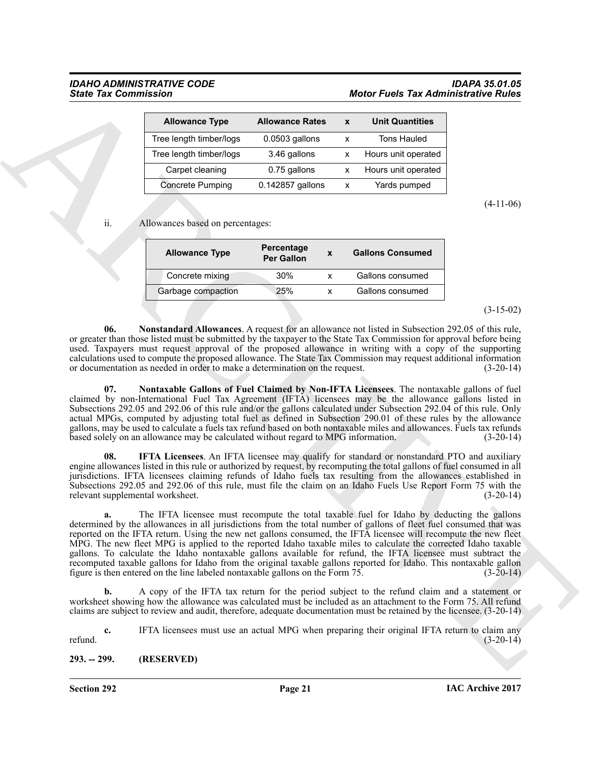### *IDAHO ADMINISTRATIVE CODE IDAPA 35.01.05 State Tax Commission Motor Fuels Tax Administrative Rules*

| <b>Allowance Type</b>   | <b>Allowance Rates</b> | $\mathbf x$ | <b>Unit Quantities</b> |
|-------------------------|------------------------|-------------|------------------------|
| Tree length timber/logs | $0.0503$ gallons<br>x  |             | <b>Tons Hauled</b>     |
| Tree length timber/logs | 3.46 gallons           | x           | Hours unit operated    |
| Carpet cleaning         | 0.75 gallons           | x           | Hours unit operated    |
| <b>Concrete Pumping</b> | 0.142857 gallons       | x           | Yards pumped           |

(4-11-06)

ii. Allowances based on percentages:

| <b>Allowance Type</b> | Percentage<br>X<br><b>Per Gallon</b> |  | <b>Gallons Consumed</b> |
|-----------------------|--------------------------------------|--|-------------------------|
| Concrete mixing       | 30%                                  |  | Gallons consumed        |
| Garbage compaction    | 25%                                  |  | Gallons consumed        |

(3-15-02)

<span id="page-20-2"></span>**06. Nonstandard Allowances**. A request for an allowance not listed in Subsection 292.05 of this rule, or greater than those listed must be submitted by the taxpayer to the State Tax Commission for approval before being used. Taxpayers must request approval of the proposed allowance in writing with a copy of the supporting calculations used to compute the proposed allowance. The State Tax Commission may request additional information or documentation as needed in order to make a determination on the request. (3-20-14)

<span id="page-20-3"></span>**07. Nontaxable Gallons of Fuel Claimed by Non-IFTA Licensees**. The nontaxable gallons of fuel claimed by non-International Fuel Tax Agreement (IFTA) licensees may be the allowance gallons listed in Subsections 292.05 and 292.06 of this rule and/or the gallons calculated under Subsection 292.04 of this rule. Only actual MPGs, computed by adjusting total fuel as defined in Subsection 290.01 of these rules by the allowance gallons, may be used to calculate a fuels tax refund based on both nontaxable miles and allowances. Fuels tax refunds based solely on an allowance may be calculated without regard to MPG information. (3-20-14)

<span id="page-20-1"></span>**08.** IFTA Licensees. An IFTA licensee may qualify for standard or nonstandard PTO and auxiliary engine allowances listed in this rule or authorized by request, by recomputing the total gallons of fuel consumed in all jurisdictions. IFTA licensees claiming refunds of Idaho fuels tax resulting from the allowances established in Subsections 292.05 and 292.06 of this rule, must file the claim on an Idaho Fuels Use Report Form 75 with the relevant supplemental worksheet. (3-20-14)

Sinte Yac Commission<br>
Altowards Diverse Process Rates X Unit Commission Rates<br>
The requirements Process Rates X Unit Commission Rates<br>
The requirements of the process Construction Commission Rates<br>
The requirements of the **a.** The IFTA licensee must recompute the total taxable fuel for Idaho by deducting the gallons determined by the allowances in all jurisdictions from the total number of gallons of fleet fuel consumed that was reported on the IFTA return. Using the new net gallons consumed, the IFTA licensee will recompute the new fleet MPG. The new fleet MPG is applied to the reported Idaho taxable miles to calculate the corrected Idaho taxable gallons. To calculate the Idaho nontaxable gallons available for refund, the IFTA licensee must subtract the recomputed taxable gallons for Idaho from the original taxable gallons reported for Idaho. This nontaxable gallon figure is then entered on the line labeled nontaxable gallons on the Form 75. (3-20-14) figure is then entered on the line labeled nontaxable gallons on the Form 75.

**b.** A copy of the IFTA tax return for the period subject to the refund claim and a statement or worksheet showing how the allowance was calculated must be included as an attachment to the Form 75. All refund claims are subject to review and audit, therefore, adequate documentation must be retained by the licensee. (3-20-14)

**c.** IFTA licensees must use an actual MPG when preparing their original IFTA return to claim any  $r = (3-20-14)$ 

<span id="page-20-0"></span>**293. -- 299. (RESERVED)**

**Section 292 Page 21**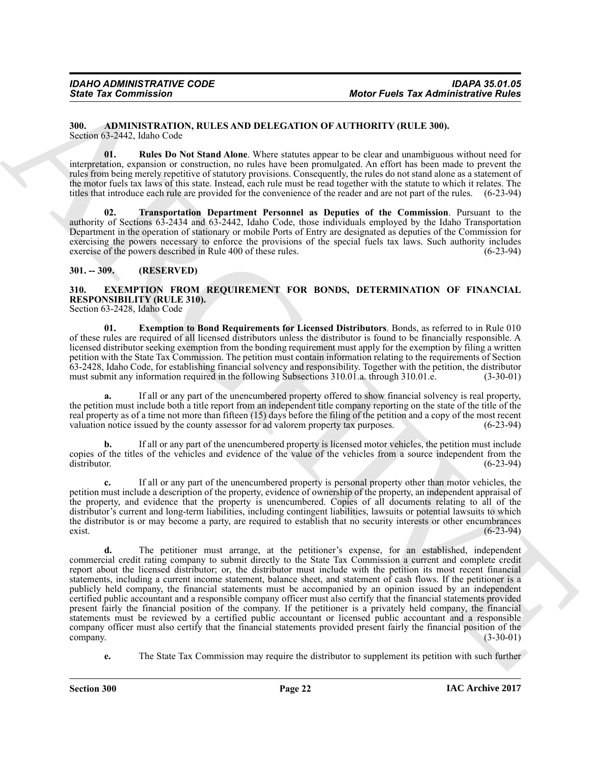### <span id="page-21-3"></span><span id="page-21-0"></span>**300. ADMINISTRATION, RULES AND DELEGATION OF AUTHORITY (RULE 300).** Section 63-2442, Idaho Code

<span id="page-21-4"></span>**01. Rules Do Not Stand Alone**. Where statutes appear to be clear and unambiguous without need for interpretation, expansion or construction, no rules have been promulgated. An effort has been made to prevent the rules from being merely repetitive of statutory provisions. Consequently, the rules do not stand alone as a statement of the motor fuels tax laws of this state. Instead, each rule must be read together with the statute to which it relates. The titles that introduce each rule are provided for the convenience of the reader and are not part of the rules. (6-23-94)

<span id="page-21-5"></span>**02. Transportation Department Personnel as Deputies of the Commission**. Pursuant to the authority of Sections 63-2434 and 63-2442, Idaho Code, those individuals employed by the Idaho Transportation Department in the operation of stationary or mobile Ports of Entry are designated as deputies of the Commission for exercising the powers necessary to enforce the provisions of the special fuels tax laws. Such authority includes exercise of the powers described in Rule 400 of these rules. (6-23-94)

### <span id="page-21-1"></span>**301. -- 309. (RESERVED)**

<span id="page-21-6"></span><span id="page-21-2"></span>**310. EXEMPTION FROM REQUIREMENT FOR BONDS, DETERMINATION OF FINANCIAL RESPONSIBILITY (RULE 310).**

Section 63-2428, Idaho Code

<span id="page-21-7"></span>**01. Exemption to Bond Requirements for Licensed Distributors**. Bonds, as referred to in Rule 010 of these rules are required of all licensed distributors unless the distributor is found to be financially responsible. A licensed distributor seeking exemption from the bonding requirement must apply for the exemption by filing a written petition with the State Tax Commission. The petition must contain information relating to the requirements of Section  $63-2428$ , Idaho Code, for establishing financial solvency and responsibility. Together with the petition, the distributor must submit any information required in the following Subsections 310.01.a. through 310.01.e.  $(3$ must submit any information required in the following Subsections 310.01.a. through 310.01.e.

**a.** If all or any part of the unencumbered property offered to show financial solvency is real property, the petition must include both a title report from an independent title company reporting on the state of the title of the real property as of a time not more than fifteen (15) days before the filing of the petition and a copy of the most recent valuation notice issued by the county assessor for ad valorem property tax purposes. (6-23-94) valuation notice issued by the county assessor for ad valorem property tax purposes.

**b.** If all or any part of the unencumbered property is licensed motor vehicles, the petition must include copies of the titles of the vehicles and evidence of the value of the vehicles from a source independent from the distributor. (6-23-94) distributor. (6-23-94)

**c.** If all or any part of the unencumbered property is personal property other than motor vehicles, the petition must include a description of the property, evidence of ownership of the property, an independent appraisal of the property, and evidence that the property is unencumbered. Copies of all documents relating to all of the distributor's current and long-term liabilities, including contingent liabilities, lawsuits or potential lawsuits to which the distributor is or may become a party, are required to establish that no security interests or other encumbrances exist. (6-23-94)  $e^{-(6-23-94)}$ 

Sinte Tax Commission<br>
Moto Facts Tax Administrative Rides<br>
Moto Facts Tax Administrative Rides<br>
Moto Facts Tax Administrative Rides<br>
Moto Scheme and New York Tax Administrative Rides<br>
Moto Scheme and New York Tax Administ **d.** The petitioner must arrange, at the petitioner's expense, for an established, independent commercial credit rating company to submit directly to the State Tax Commission a current and complete credit report about the licensed distributor; or, the distributor must include with the petition its most recent financial statements, including a current income statement, balance sheet, and statement of cash flows. If the petitioner is a publicly held company, the financial statements must be accompanied by an opinion issued by an independent certified public accountant and a responsible company officer must also certify that the financial statements provided present fairly the financial position of the company. If the petitioner is a privately held company, the financial statements must be reviewed by a certified public accountant or licensed public accountant and a responsible company officer must also certify that the financial statements provided present fairly the financial position of the company. (3-30-01) company.  $(3-30-01)$ 

**e.** The State Tax Commission may require the distributor to supplement its petition with such further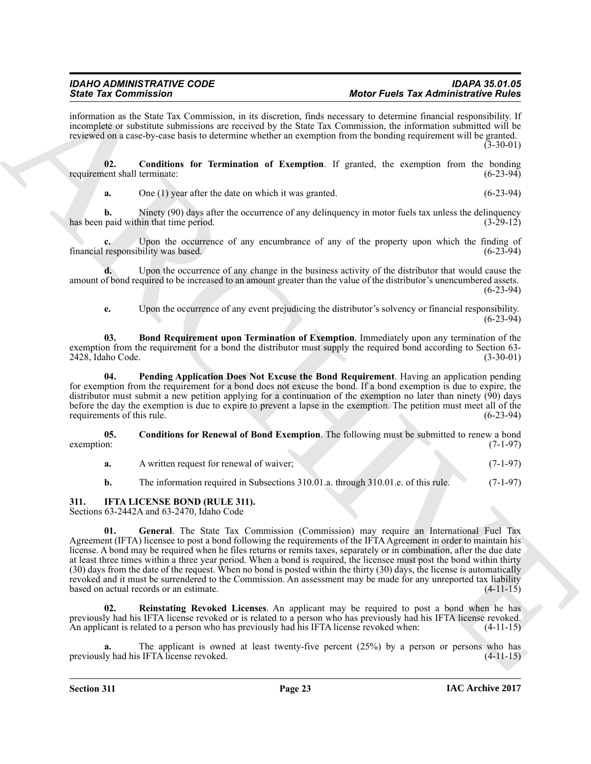information as the State Tax Commission, in its discretion, finds necessary to determine financial responsibility. If incomplete or substitute submissions are received by the State Tax Commission, the information submitted will be reviewed on a case-by-case basis to determine whether an exemption from the bonding requirement will be granted. (3-30-01)

**02.** Conditions for Termination of Exemption. If granted, the exemption from the bonding ent shall terminate: (6-23-94) requirement shall terminate:

<span id="page-22-3"></span>**a.** One (1) year after the date on which it was granted.  $(6-23-94)$ 

**b.** Ninety (90) days after the occurrence of any delinquency in motor fuels tax unless the delinquency paid within that time period.  $(3-29-12)$ has been paid within that time period.

Upon the occurrence of any encumbrance of any of the property upon which the finding of financial responsibility was based. (6-23-94)

**d.** Upon the occurrence of any change in the business activity of the distributor that would cause the amount of bond required to be increased to an amount greater than the value of the distributor's unencumbered assets.  $(6-23-94)$ 

<span id="page-22-4"></span><span id="page-22-1"></span>**e.** Upon the occurrence of any event prejudicing the distributor's solvency or financial responsibility.  $(6-23-94)$ 

**03. Bond Requirement upon Termination of Exemption**. Immediately upon any termination of the exemption from the requirement for a bond the distributor must supply the required bond according to Section 63-<br>(3-30-01)<br>(3-30-01) 2428, Idaho Code.

**04. Pending Application Does Not Excuse the Bond Requirement**. Having an application pending for exemption from the requirement for a bond does not excuse the bond. If a bond exemption is due to expire, the distributor must submit a new petition applying for a continuation of the exemption no later than ninety (90) days before the day the exemption is due to expire to prevent a lapse in the exemption. The petition must meet all of the requirements of this rule. (6-23-94) requirements of this rule.

**05.** Conditions for Renewal of Bond Exemption. The following must be submitted to renew a bond exemption: (7-1-97)  $e^{\frac{1}{2}(7-1-97)}$ 

- <span id="page-22-2"></span>**a.** A written request for renewal of waiver: (7-1-97)
- <span id="page-22-6"></span><span id="page-22-5"></span>**b.** The information required in Subsections 310.01.a. through 310.01.e. of this rule. (7-1-97)

### <span id="page-22-0"></span>**311. IFTA LICENSE BOND (RULE 311).**

Sections 63-2442A and 63-2470, Idaho Code

Since Tax Commission C. Commission in the described but the relation of the Branchivetic Philoson Commission C. Commission in the second of the second of the second of the second of the second of the second of the second **01. General**. The State Tax Commission (Commission) may require an International Fuel Tax Agreement (IFTA) licensee to post a bond following the requirements of the IFTA Agreement in order to maintain his license. A bond may be required when he files returns or remits taxes, separately or in combination, after the due date at least three times within a three year period. When a bond is required, the licensee must post the bond within thirty (30) days from the date of the request. When no bond is posted within the thirty (30) days, the license is automatically revoked and it must be surrendered to the Commission. An assessment may be made for any unreported tax liability based on actual records or an estimate. based on actual records or an estimate.

<span id="page-22-7"></span>**02. Reinstating Revoked Licenses**. An applicant may be required to post a bond when he has previously had his IFTA license revoked or is related to a person who has previously had his IFTA license revoked. An applicant is related to a person who has previously had his IFTA license revoked when: (4-11-15)

The applicant is owned at least twenty-five percent (25%) by a person or persons who has iFTA license revoked. (4-11-15) previously had his IFTA license revoked.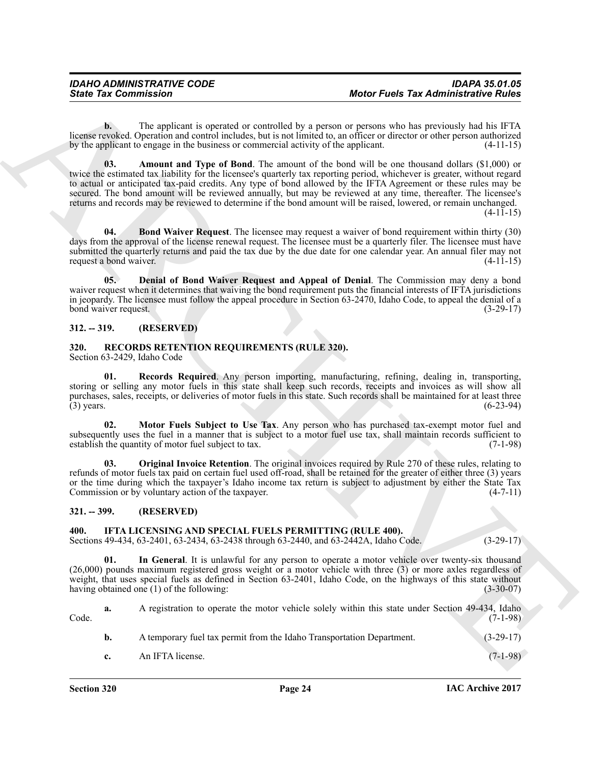<span id="page-23-4"></span>**b.** The applicant is operated or controlled by a person or persons who has previously had his IFTA license revoked. Operation and control includes, but is not limited to, an officer or director or other person authorized by the applicant to engage in the business or commercial activity of the applicant.

Since Tax Commission<br>
Leads a change of the spheroche and contained by a person of particles Tax Administrative Rules<br>
Leads a contained and which the translation properties are effected by a person of the spheroid hall a **03. Amount and Type of Bond**. The amount of the bond will be one thousand dollars (\$1,000) or twice the estimated tax liability for the licensee's quarterly tax reporting period, whichever is greater, without regard to actual or anticipated tax-paid credits. Any type of bond allowed by the IFTA Agreement or these rules may be secured. The bond amount will be reviewed annually, but may be reviewed at any time, thereafter. The licensee's returns and records may be reviewed to determine if the bond amount will be raised, lowered, or remain unchanged.  $(4-11-15)$ 

<span id="page-23-5"></span>**04. Bond Waiver Request**. The licensee may request a waiver of bond requirement within thirty (30) days from the approval of the license renewal request. The licensee must be a quarterly filer. The licensee must have submitted the quarterly returns and paid the tax due by the due date for one calendar year. An annual filer may not request a bond waiver. (4-11-15) request a bond waiver.

<span id="page-23-6"></span>**05. Denial of Bond Waiver Request and Appeal of Denial**. The Commission may deny a bond waiver request when it determines that waiving the bond requirement puts the financial interests of IFTA jurisdictions in jeopardy. The licensee must follow the appeal procedure in Section 63-2470, Idaho Code, to appeal the denial of a bond waiver request. (3-29-17)

### <span id="page-23-0"></span>**312. -- 319. (RESERVED)**

# <span id="page-23-9"></span><span id="page-23-1"></span>**320. RECORDS RETENTION REQUIREMENTS (RULE 320).**

Section 63-2429, Idaho Code

<span id="page-23-12"></span>**01. Records Required**. Any person importing, manufacturing, refining, dealing in, transporting, storing or selling any motor fuels in this state shall keep such records, receipts and invoices as will show all purchases, sales, receipts, or deliveries of motor fuels in this state. Such records shall be maintained for at least three (3) years. (6-23-94) (3) years.  $(6-23-94)$ 

<span id="page-23-10"></span>Motor Fuels Subject to Use Tax. Any person who has purchased tax-exempt motor fuel and subsequently uses the fuel in a manner that is subject to a motor fuel use tax, shall maintain records sufficient to establish the quantity of motor fuel subject to tax. (7-1-98) establish the quantity of motor fuel subject to tax.

<span id="page-23-11"></span>**Original Invoice Retention.** The original invoices required by Rule 270 of these rules, relating to refunds of motor fuels tax paid on certain fuel used off-road, shall be retained for the greater of either three (3) years or the time during which the taxpayer's Idaho income tax return is subject to adjustment by either the State Tax<br>Commission or by voluntary action of the taxpayer. (4-7-11) Commission or by voluntary action of the taxpayer.

### <span id="page-23-2"></span>**321. -- 399. (RESERVED)**

### <span id="page-23-7"></span><span id="page-23-3"></span>**400. IFTA LICENSING AND SPECIAL FUELS PERMITTING (RULE 400).**

Sections 49-434, 63-2401, 63-2434, 63-2438 through 63-2440, and 63-2442A, Idaho Code. (3-29-17)

<span id="page-23-8"></span>**01. In General**. It is unlawful for any person to operate a motor vehicle over twenty-six thousand (26,000) pounds maximum registered gross weight or a motor vehicle with three (3) or more axles regardless of weight, that uses special fuels as defined in Section 63-2401, Idaho Code, on the highways of this state without having obtained one (1) of the following: (3-30-07) having obtained one  $(1)$  of the following:

**a.** A registration to operate the motor vehicle solely within this state under Section 49-434, Idaho (7-1-98) Code. (7-1-98)

- **b.** A temporary fuel tax permit from the Idaho Transportation Department. (3-29-17)
- **c.** An IFTA license. (7-1-98)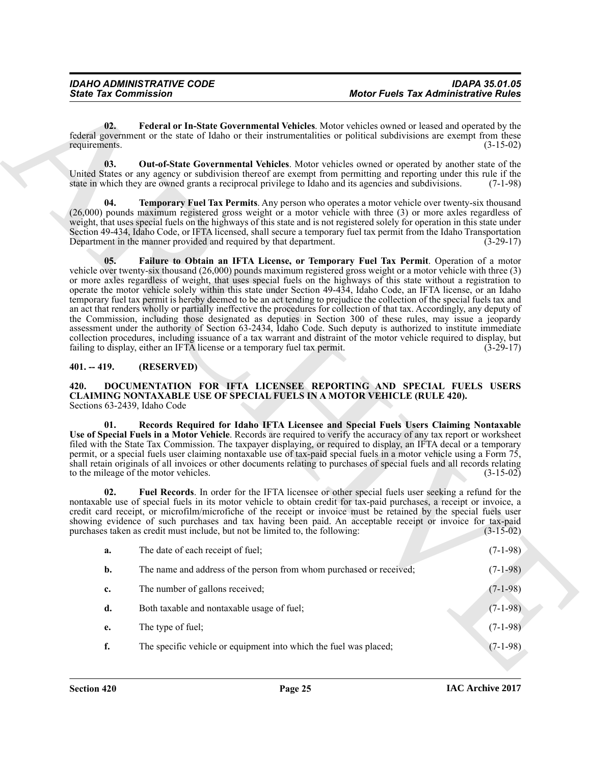### <span id="page-24-5"></span><span id="page-24-4"></span><span id="page-24-3"></span><span id="page-24-2"></span><span id="page-24-1"></span><span id="page-24-0"></span>**401. -- 419. (RESERVED)**

<span id="page-24-8"></span><span id="page-24-7"></span><span id="page-24-6"></span>

| 02.<br>Federal or In-State Governmental Vehicles. Motor vehicles owned or leased and operated by the<br>federal government or the state of Idaho or their instrumentalities or political subdivisions are exempt from these<br>requirements.<br>$(3-15-02)$<br>03.<br><b>Out-of-State Governmental Vehicles</b> . Motor vehicles owned or operated by another state of the<br>United States or any agency or subdivision thereof are exempt from permitting and reporting under this rule if the<br>state in which they are owned grants a reciprocal privilege to Idaho and its agencies and subdivisions.<br>$(7-1-98)$<br><b>Temporary Fuel Tax Permits</b> . Any person who operates a motor vehicle over twenty-six thousand<br>04.<br>(26,000) pounds maximum registered gross weight or a motor vehicle with three (3) or more axles regardless of<br>weight, that uses special fuels on the highways of this state and is not registered solely for operation in this state under<br>Section 49-434, Idaho Code, or IFTA licensed, shall secure a temporary fuel tax permit from the Idaho Transportation<br>Department in the manner provided and required by that department.<br>$(3-29-17)$<br>Failure to Obtain an IFTA License, or Temporary Fuel Tax Permit. Operation of a motor<br>05.<br>vehicle over twenty-six thousand $(26,000)$ pounds maximum registered gross weight or a motor vehicle with three $(3)$<br>or more axles regardless of weight, that uses special fuels on the highways of this state without a registration to<br>operate the motor vehicle solely within this state under Section 49-434, Idaho Code, an IFTA license, or an Idaho<br>temporary fuel tax permit is hereby deemed to be an act tending to prejudice the collection of the special fuels tax and<br>an act that renders wholly or partially ineffective the procedures for collection of that tax. Accordingly, any deputy of<br>the Commission, including those designated as deputies in Section 300 of these rules, may issue a jeopardy<br>assessment under the authority of Section 63-2434, Idaho Code. Such deputy is authorized to institute immediate<br>collection procedures, including issuance of a tax warrant and distraint of the motor vehicle required to display, but<br>failing to display, either an IFTA license or a temporary fuel tax permit.<br>$(3-29-17)$<br>(RESERVED)<br>$401. - 419.$<br>DOCUMENTATION FOR IFTA LICENSEE REPORTING AND SPECIAL FUELS USERS<br>420.<br><b>CLAIMING NONTAXABLE USE OF SPECIAL FUELS IN A MOTOR VEHICLE (RULE 420).</b><br>Sections 63-2439, Idaho Code<br>Records Required for Idaho IFTA Licensee and Special Fuels Users Claiming Nontaxable<br>01.<br>Use of Special Fuels in a Motor Vehicle. Records are required to verify the accuracy of any tax report or worksheet<br>filed with the State Tax Commission. The taxpayer displaying, or required to display, an IFTA decal or a temporary<br>permit, or a special fuels user claiming nontaxable use of tax-paid special fuels in a motor vehicle using a Form 75,<br>shall retain originals of all invoices or other documents relating to purchases of special fuels and all records relating<br>to the mileage of the motor vehicles.<br>$(3-15-02)$<br>Fuel Records. In order for the IFTA licensee or other special fuels user seeking a refund for the<br>02.<br>nontaxable use of special fuels in its motor vehicle to obtain credit for tax-paid purchases, a receipt or invoice, a<br>credit card receipt, or microfilm/microfiche of the receipt or invoice must be retained by the special fuels user<br>showing evidence of such purchases and tax having been paid. An acceptable receipt or invoice for tax-paid<br>purchases taken as credit must include, but not be limited to, the following:<br>$(3-15-02)$<br>The date of each receipt of fuel;<br>$(7-1-98)$<br>a.<br>The name and address of the person from whom purchased or received;<br>b.<br>$(7-1-98)$<br>The number of gallons received;<br>$(7-1-98)$<br>c.<br>Both taxable and nontaxable usage of fuel;<br>$(7-1-98)$<br>d.<br>The type of fuel;<br>$(7-1-98)$<br>e.<br>f.<br>The specific vehicle or equipment into which the fuel was placed;<br>$(7-1-98)$ | <b>State Tax Commission</b> | <b>Motor Fuels Tax Administrative Rules</b> |  |
|------------------------------------------------------------------------------------------------------------------------------------------------------------------------------------------------------------------------------------------------------------------------------------------------------------------------------------------------------------------------------------------------------------------------------------------------------------------------------------------------------------------------------------------------------------------------------------------------------------------------------------------------------------------------------------------------------------------------------------------------------------------------------------------------------------------------------------------------------------------------------------------------------------------------------------------------------------------------------------------------------------------------------------------------------------------------------------------------------------------------------------------------------------------------------------------------------------------------------------------------------------------------------------------------------------------------------------------------------------------------------------------------------------------------------------------------------------------------------------------------------------------------------------------------------------------------------------------------------------------------------------------------------------------------------------------------------------------------------------------------------------------------------------------------------------------------------------------------------------------------------------------------------------------------------------------------------------------------------------------------------------------------------------------------------------------------------------------------------------------------------------------------------------------------------------------------------------------------------------------------------------------------------------------------------------------------------------------------------------------------------------------------------------------------------------------------------------------------------------------------------------------------------------------------------------------------------------------------------------------------------------------------------------------------------------------------------------------------------------------------------------------------------------------------------------------------------------------------------------------------------------------------------------------------------------------------------------------------------------------------------------------------------------------------------------------------------------------------------------------------------------------------------------------------------------------------------------------------------------------------------------------------------------------------------------------------------------------------------------------------------------------------------------------------------------------------------------------------------------------------------------------------------------------------------------------------------------------------------------------------------------------------------------------------------------------------------------------------------------------------------------------------------------------------------------------------------------------------------------------------------------------------------------------------------------------------------------------------------------------------------------------------------------------------------------------------------------------------------------------------------------------------------------------------------------------------------------------------------------------------------------------------------|-----------------------------|---------------------------------------------|--|
|                                                                                                                                                                                                                                                                                                                                                                                                                                                                                                                                                                                                                                                                                                                                                                                                                                                                                                                                                                                                                                                                                                                                                                                                                                                                                                                                                                                                                                                                                                                                                                                                                                                                                                                                                                                                                                                                                                                                                                                                                                                                                                                                                                                                                                                                                                                                                                                                                                                                                                                                                                                                                                                                                                                                                                                                                                                                                                                                                                                                                                                                                                                                                                                                                                                                                                                                                                                                                                                                                                                                                                                                                                                                                                                                                                                                                                                                                                                                                                                                                                                                                                                                                                                                                                                                              |                             |                                             |  |
|                                                                                                                                                                                                                                                                                                                                                                                                                                                                                                                                                                                                                                                                                                                                                                                                                                                                                                                                                                                                                                                                                                                                                                                                                                                                                                                                                                                                                                                                                                                                                                                                                                                                                                                                                                                                                                                                                                                                                                                                                                                                                                                                                                                                                                                                                                                                                                                                                                                                                                                                                                                                                                                                                                                                                                                                                                                                                                                                                                                                                                                                                                                                                                                                                                                                                                                                                                                                                                                                                                                                                                                                                                                                                                                                                                                                                                                                                                                                                                                                                                                                                                                                                                                                                                                                              |                             |                                             |  |
|                                                                                                                                                                                                                                                                                                                                                                                                                                                                                                                                                                                                                                                                                                                                                                                                                                                                                                                                                                                                                                                                                                                                                                                                                                                                                                                                                                                                                                                                                                                                                                                                                                                                                                                                                                                                                                                                                                                                                                                                                                                                                                                                                                                                                                                                                                                                                                                                                                                                                                                                                                                                                                                                                                                                                                                                                                                                                                                                                                                                                                                                                                                                                                                                                                                                                                                                                                                                                                                                                                                                                                                                                                                                                                                                                                                                                                                                                                                                                                                                                                                                                                                                                                                                                                                                              |                             |                                             |  |
|                                                                                                                                                                                                                                                                                                                                                                                                                                                                                                                                                                                                                                                                                                                                                                                                                                                                                                                                                                                                                                                                                                                                                                                                                                                                                                                                                                                                                                                                                                                                                                                                                                                                                                                                                                                                                                                                                                                                                                                                                                                                                                                                                                                                                                                                                                                                                                                                                                                                                                                                                                                                                                                                                                                                                                                                                                                                                                                                                                                                                                                                                                                                                                                                                                                                                                                                                                                                                                                                                                                                                                                                                                                                                                                                                                                                                                                                                                                                                                                                                                                                                                                                                                                                                                                                              |                             |                                             |  |
|                                                                                                                                                                                                                                                                                                                                                                                                                                                                                                                                                                                                                                                                                                                                                                                                                                                                                                                                                                                                                                                                                                                                                                                                                                                                                                                                                                                                                                                                                                                                                                                                                                                                                                                                                                                                                                                                                                                                                                                                                                                                                                                                                                                                                                                                                                                                                                                                                                                                                                                                                                                                                                                                                                                                                                                                                                                                                                                                                                                                                                                                                                                                                                                                                                                                                                                                                                                                                                                                                                                                                                                                                                                                                                                                                                                                                                                                                                                                                                                                                                                                                                                                                                                                                                                                              |                             |                                             |  |
|                                                                                                                                                                                                                                                                                                                                                                                                                                                                                                                                                                                                                                                                                                                                                                                                                                                                                                                                                                                                                                                                                                                                                                                                                                                                                                                                                                                                                                                                                                                                                                                                                                                                                                                                                                                                                                                                                                                                                                                                                                                                                                                                                                                                                                                                                                                                                                                                                                                                                                                                                                                                                                                                                                                                                                                                                                                                                                                                                                                                                                                                                                                                                                                                                                                                                                                                                                                                                                                                                                                                                                                                                                                                                                                                                                                                                                                                                                                                                                                                                                                                                                                                                                                                                                                                              |                             |                                             |  |
|                                                                                                                                                                                                                                                                                                                                                                                                                                                                                                                                                                                                                                                                                                                                                                                                                                                                                                                                                                                                                                                                                                                                                                                                                                                                                                                                                                                                                                                                                                                                                                                                                                                                                                                                                                                                                                                                                                                                                                                                                                                                                                                                                                                                                                                                                                                                                                                                                                                                                                                                                                                                                                                                                                                                                                                                                                                                                                                                                                                                                                                                                                                                                                                                                                                                                                                                                                                                                                                                                                                                                                                                                                                                                                                                                                                                                                                                                                                                                                                                                                                                                                                                                                                                                                                                              |                             |                                             |  |
|                                                                                                                                                                                                                                                                                                                                                                                                                                                                                                                                                                                                                                                                                                                                                                                                                                                                                                                                                                                                                                                                                                                                                                                                                                                                                                                                                                                                                                                                                                                                                                                                                                                                                                                                                                                                                                                                                                                                                                                                                                                                                                                                                                                                                                                                                                                                                                                                                                                                                                                                                                                                                                                                                                                                                                                                                                                                                                                                                                                                                                                                                                                                                                                                                                                                                                                                                                                                                                                                                                                                                                                                                                                                                                                                                                                                                                                                                                                                                                                                                                                                                                                                                                                                                                                                              |                             |                                             |  |
|                                                                                                                                                                                                                                                                                                                                                                                                                                                                                                                                                                                                                                                                                                                                                                                                                                                                                                                                                                                                                                                                                                                                                                                                                                                                                                                                                                                                                                                                                                                                                                                                                                                                                                                                                                                                                                                                                                                                                                                                                                                                                                                                                                                                                                                                                                                                                                                                                                                                                                                                                                                                                                                                                                                                                                                                                                                                                                                                                                                                                                                                                                                                                                                                                                                                                                                                                                                                                                                                                                                                                                                                                                                                                                                                                                                                                                                                                                                                                                                                                                                                                                                                                                                                                                                                              |                             |                                             |  |
|                                                                                                                                                                                                                                                                                                                                                                                                                                                                                                                                                                                                                                                                                                                                                                                                                                                                                                                                                                                                                                                                                                                                                                                                                                                                                                                                                                                                                                                                                                                                                                                                                                                                                                                                                                                                                                                                                                                                                                                                                                                                                                                                                                                                                                                                                                                                                                                                                                                                                                                                                                                                                                                                                                                                                                                                                                                                                                                                                                                                                                                                                                                                                                                                                                                                                                                                                                                                                                                                                                                                                                                                                                                                                                                                                                                                                                                                                                                                                                                                                                                                                                                                                                                                                                                                              |                             |                                             |  |
|                                                                                                                                                                                                                                                                                                                                                                                                                                                                                                                                                                                                                                                                                                                                                                                                                                                                                                                                                                                                                                                                                                                                                                                                                                                                                                                                                                                                                                                                                                                                                                                                                                                                                                                                                                                                                                                                                                                                                                                                                                                                                                                                                                                                                                                                                                                                                                                                                                                                                                                                                                                                                                                                                                                                                                                                                                                                                                                                                                                                                                                                                                                                                                                                                                                                                                                                                                                                                                                                                                                                                                                                                                                                                                                                                                                                                                                                                                                                                                                                                                                                                                                                                                                                                                                                              |                             |                                             |  |
|                                                                                                                                                                                                                                                                                                                                                                                                                                                                                                                                                                                                                                                                                                                                                                                                                                                                                                                                                                                                                                                                                                                                                                                                                                                                                                                                                                                                                                                                                                                                                                                                                                                                                                                                                                                                                                                                                                                                                                                                                                                                                                                                                                                                                                                                                                                                                                                                                                                                                                                                                                                                                                                                                                                                                                                                                                                                                                                                                                                                                                                                                                                                                                                                                                                                                                                                                                                                                                                                                                                                                                                                                                                                                                                                                                                                                                                                                                                                                                                                                                                                                                                                                                                                                                                                              |                             |                                             |  |
|                                                                                                                                                                                                                                                                                                                                                                                                                                                                                                                                                                                                                                                                                                                                                                                                                                                                                                                                                                                                                                                                                                                                                                                                                                                                                                                                                                                                                                                                                                                                                                                                                                                                                                                                                                                                                                                                                                                                                                                                                                                                                                                                                                                                                                                                                                                                                                                                                                                                                                                                                                                                                                                                                                                                                                                                                                                                                                                                                                                                                                                                                                                                                                                                                                                                                                                                                                                                                                                                                                                                                                                                                                                                                                                                                                                                                                                                                                                                                                                                                                                                                                                                                                                                                                                                              |                             |                                             |  |
|                                                                                                                                                                                                                                                                                                                                                                                                                                                                                                                                                                                                                                                                                                                                                                                                                                                                                                                                                                                                                                                                                                                                                                                                                                                                                                                                                                                                                                                                                                                                                                                                                                                                                                                                                                                                                                                                                                                                                                                                                                                                                                                                                                                                                                                                                                                                                                                                                                                                                                                                                                                                                                                                                                                                                                                                                                                                                                                                                                                                                                                                                                                                                                                                                                                                                                                                                                                                                                                                                                                                                                                                                                                                                                                                                                                                                                                                                                                                                                                                                                                                                                                                                                                                                                                                              |                             |                                             |  |
|                                                                                                                                                                                                                                                                                                                                                                                                                                                                                                                                                                                                                                                                                                                                                                                                                                                                                                                                                                                                                                                                                                                                                                                                                                                                                                                                                                                                                                                                                                                                                                                                                                                                                                                                                                                                                                                                                                                                                                                                                                                                                                                                                                                                                                                                                                                                                                                                                                                                                                                                                                                                                                                                                                                                                                                                                                                                                                                                                                                                                                                                                                                                                                                                                                                                                                                                                                                                                                                                                                                                                                                                                                                                                                                                                                                                                                                                                                                                                                                                                                                                                                                                                                                                                                                                              |                             |                                             |  |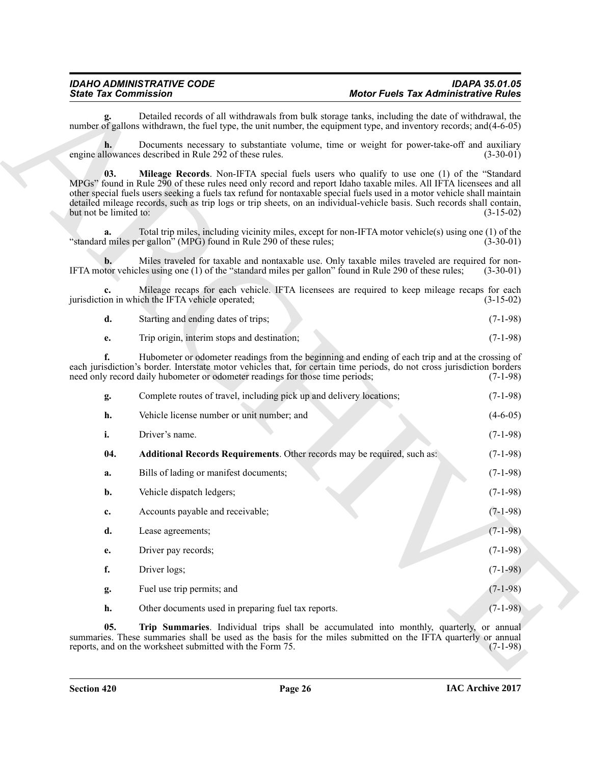<span id="page-25-2"></span><span id="page-25-0"></span>

| d. | Starting and ending dates of trips; | $(7-1-98)$ |
|----|-------------------------------------|------------|
|    |                                     |            |

<span id="page-25-1"></span>

| Detailed records of all withdrawals from bulk storage tanks, including the date of withdrawal, the<br>number of gallons withdrawn, the fuel type, the unit number, the equipment type, and inventory records; and (4-6-05)<br>Documents necessary to substantiate volume, time or weight for power-take-off and auxiliary<br>engine allowances described in Rule 292 of these rules.<br>03.<br><b>Mileage Records.</b> Non-IFTA special fuels users who qualify to use one (1) of the "Standard<br>MPGs" found in Rule 290 of these rules need only record and report Idaho taxable miles. All IFTA licensees and all<br>other special fuels users seeking a fuels tax refund for nontaxable special fuels used in a motor vehicle shall maintain<br>detailed mileage records, such as trip logs or trip sheets, on an individual-vehicle basis. Such records shall contain,<br>but not be limited to:<br>Total trip miles, including vicinity miles, except for non-IFTA motor vehicle(s) using one (1) of the<br>a.<br>"standard miles per gallon" (MPG) found in Rule 290 of these rules;<br>Miles traveled for taxable and nontaxable use. Only taxable miles traveled are required for non-<br>b.<br>IFTA motor vehicles using one (1) of the "standard miles per gallon" found in Rule 290 of these rules;<br>Mileage recaps for each vehicle. IFTA licensees are required to keep mileage recaps for each<br>c.<br>jurisdiction in which the IFTA vehicle operated;<br>d.<br>Starting and ending dates of trips;<br>Trip origin, interim stops and destination;<br>e.<br>Hubometer or odometer readings from the beginning and ending of each trip and at the crossing of<br>f.<br>each jurisdiction's border. Interstate motor vehicles that, for certain time periods, do not cross jurisdiction borders<br>need only record daily hubometer or odometer readings for those time periods;<br>Complete routes of travel, including pick up and delivery locations;<br>g.<br>Vehicle license number or unit number; and<br>h.<br>i.<br>Driver's name.<br>Additional Records Requirements. Other records may be required, such as:<br>04.<br>Bills of lading or manifest documents;<br>a.<br>Vehicle dispatch ledgers;<br>b.<br>Accounts payable and receivable;<br>c.<br>d.<br>Lease agreements;<br>Driver pay records;<br>e.<br>f.<br>Driver logs;<br>Fuel use trip permits; and<br>g. |             |
|------------------------------------------------------------------------------------------------------------------------------------------------------------------------------------------------------------------------------------------------------------------------------------------------------------------------------------------------------------------------------------------------------------------------------------------------------------------------------------------------------------------------------------------------------------------------------------------------------------------------------------------------------------------------------------------------------------------------------------------------------------------------------------------------------------------------------------------------------------------------------------------------------------------------------------------------------------------------------------------------------------------------------------------------------------------------------------------------------------------------------------------------------------------------------------------------------------------------------------------------------------------------------------------------------------------------------------------------------------------------------------------------------------------------------------------------------------------------------------------------------------------------------------------------------------------------------------------------------------------------------------------------------------------------------------------------------------------------------------------------------------------------------------------------------------------------------------------------------------------------------------------------------------------------------------------------------------------------------------------------------------------------------------------------------------------------------------------------------------------------------------------------------------------------------------------------------------------------------------------------------------------------------------------------------------------------------------------------------------------------------------------------|-------------|
|                                                                                                                                                                                                                                                                                                                                                                                                                                                                                                                                                                                                                                                                                                                                                                                                                                                                                                                                                                                                                                                                                                                                                                                                                                                                                                                                                                                                                                                                                                                                                                                                                                                                                                                                                                                                                                                                                                                                                                                                                                                                                                                                                                                                                                                                                                                                                                                                |             |
|                                                                                                                                                                                                                                                                                                                                                                                                                                                                                                                                                                                                                                                                                                                                                                                                                                                                                                                                                                                                                                                                                                                                                                                                                                                                                                                                                                                                                                                                                                                                                                                                                                                                                                                                                                                                                                                                                                                                                                                                                                                                                                                                                                                                                                                                                                                                                                                                | $(3-30-01)$ |
|                                                                                                                                                                                                                                                                                                                                                                                                                                                                                                                                                                                                                                                                                                                                                                                                                                                                                                                                                                                                                                                                                                                                                                                                                                                                                                                                                                                                                                                                                                                                                                                                                                                                                                                                                                                                                                                                                                                                                                                                                                                                                                                                                                                                                                                                                                                                                                                                | $(3-15-02)$ |
|                                                                                                                                                                                                                                                                                                                                                                                                                                                                                                                                                                                                                                                                                                                                                                                                                                                                                                                                                                                                                                                                                                                                                                                                                                                                                                                                                                                                                                                                                                                                                                                                                                                                                                                                                                                                                                                                                                                                                                                                                                                                                                                                                                                                                                                                                                                                                                                                | $(3-30-01)$ |
|                                                                                                                                                                                                                                                                                                                                                                                                                                                                                                                                                                                                                                                                                                                                                                                                                                                                                                                                                                                                                                                                                                                                                                                                                                                                                                                                                                                                                                                                                                                                                                                                                                                                                                                                                                                                                                                                                                                                                                                                                                                                                                                                                                                                                                                                                                                                                                                                | $(3-30-01)$ |
|                                                                                                                                                                                                                                                                                                                                                                                                                                                                                                                                                                                                                                                                                                                                                                                                                                                                                                                                                                                                                                                                                                                                                                                                                                                                                                                                                                                                                                                                                                                                                                                                                                                                                                                                                                                                                                                                                                                                                                                                                                                                                                                                                                                                                                                                                                                                                                                                | $(3-15-02)$ |
|                                                                                                                                                                                                                                                                                                                                                                                                                                                                                                                                                                                                                                                                                                                                                                                                                                                                                                                                                                                                                                                                                                                                                                                                                                                                                                                                                                                                                                                                                                                                                                                                                                                                                                                                                                                                                                                                                                                                                                                                                                                                                                                                                                                                                                                                                                                                                                                                | $(7-1-98)$  |
|                                                                                                                                                                                                                                                                                                                                                                                                                                                                                                                                                                                                                                                                                                                                                                                                                                                                                                                                                                                                                                                                                                                                                                                                                                                                                                                                                                                                                                                                                                                                                                                                                                                                                                                                                                                                                                                                                                                                                                                                                                                                                                                                                                                                                                                                                                                                                                                                | $(7-1-98)$  |
|                                                                                                                                                                                                                                                                                                                                                                                                                                                                                                                                                                                                                                                                                                                                                                                                                                                                                                                                                                                                                                                                                                                                                                                                                                                                                                                                                                                                                                                                                                                                                                                                                                                                                                                                                                                                                                                                                                                                                                                                                                                                                                                                                                                                                                                                                                                                                                                                | $(7-1-98)$  |
|                                                                                                                                                                                                                                                                                                                                                                                                                                                                                                                                                                                                                                                                                                                                                                                                                                                                                                                                                                                                                                                                                                                                                                                                                                                                                                                                                                                                                                                                                                                                                                                                                                                                                                                                                                                                                                                                                                                                                                                                                                                                                                                                                                                                                                                                                                                                                                                                | $(7-1-98)$  |
|                                                                                                                                                                                                                                                                                                                                                                                                                                                                                                                                                                                                                                                                                                                                                                                                                                                                                                                                                                                                                                                                                                                                                                                                                                                                                                                                                                                                                                                                                                                                                                                                                                                                                                                                                                                                                                                                                                                                                                                                                                                                                                                                                                                                                                                                                                                                                                                                | $(4-6-05)$  |
|                                                                                                                                                                                                                                                                                                                                                                                                                                                                                                                                                                                                                                                                                                                                                                                                                                                                                                                                                                                                                                                                                                                                                                                                                                                                                                                                                                                                                                                                                                                                                                                                                                                                                                                                                                                                                                                                                                                                                                                                                                                                                                                                                                                                                                                                                                                                                                                                | $(7-1-98)$  |
|                                                                                                                                                                                                                                                                                                                                                                                                                                                                                                                                                                                                                                                                                                                                                                                                                                                                                                                                                                                                                                                                                                                                                                                                                                                                                                                                                                                                                                                                                                                                                                                                                                                                                                                                                                                                                                                                                                                                                                                                                                                                                                                                                                                                                                                                                                                                                                                                | $(7-1-98)$  |
|                                                                                                                                                                                                                                                                                                                                                                                                                                                                                                                                                                                                                                                                                                                                                                                                                                                                                                                                                                                                                                                                                                                                                                                                                                                                                                                                                                                                                                                                                                                                                                                                                                                                                                                                                                                                                                                                                                                                                                                                                                                                                                                                                                                                                                                                                                                                                                                                | $(7-1-98)$  |
|                                                                                                                                                                                                                                                                                                                                                                                                                                                                                                                                                                                                                                                                                                                                                                                                                                                                                                                                                                                                                                                                                                                                                                                                                                                                                                                                                                                                                                                                                                                                                                                                                                                                                                                                                                                                                                                                                                                                                                                                                                                                                                                                                                                                                                                                                                                                                                                                | $(7-1-98)$  |
|                                                                                                                                                                                                                                                                                                                                                                                                                                                                                                                                                                                                                                                                                                                                                                                                                                                                                                                                                                                                                                                                                                                                                                                                                                                                                                                                                                                                                                                                                                                                                                                                                                                                                                                                                                                                                                                                                                                                                                                                                                                                                                                                                                                                                                                                                                                                                                                                | $(7-1-98)$  |
|                                                                                                                                                                                                                                                                                                                                                                                                                                                                                                                                                                                                                                                                                                                                                                                                                                                                                                                                                                                                                                                                                                                                                                                                                                                                                                                                                                                                                                                                                                                                                                                                                                                                                                                                                                                                                                                                                                                                                                                                                                                                                                                                                                                                                                                                                                                                                                                                | $(7-1-98)$  |
|                                                                                                                                                                                                                                                                                                                                                                                                                                                                                                                                                                                                                                                                                                                                                                                                                                                                                                                                                                                                                                                                                                                                                                                                                                                                                                                                                                                                                                                                                                                                                                                                                                                                                                                                                                                                                                                                                                                                                                                                                                                                                                                                                                                                                                                                                                                                                                                                | $(7-1-98)$  |
|                                                                                                                                                                                                                                                                                                                                                                                                                                                                                                                                                                                                                                                                                                                                                                                                                                                                                                                                                                                                                                                                                                                                                                                                                                                                                                                                                                                                                                                                                                                                                                                                                                                                                                                                                                                                                                                                                                                                                                                                                                                                                                                                                                                                                                                                                                                                                                                                | $(7-1-98)$  |
|                                                                                                                                                                                                                                                                                                                                                                                                                                                                                                                                                                                                                                                                                                                                                                                                                                                                                                                                                                                                                                                                                                                                                                                                                                                                                                                                                                                                                                                                                                                                                                                                                                                                                                                                                                                                                                                                                                                                                                                                                                                                                                                                                                                                                                                                                                                                                                                                | $(7-1-98)$  |
| Other documents used in preparing fuel tax reports.<br>h.                                                                                                                                                                                                                                                                                                                                                                                                                                                                                                                                                                                                                                                                                                                                                                                                                                                                                                                                                                                                                                                                                                                                                                                                                                                                                                                                                                                                                                                                                                                                                                                                                                                                                                                                                                                                                                                                                                                                                                                                                                                                                                                                                                                                                                                                                                                                      | $(7-1-98)$  |
| Trip Summaries. Individual trips shall be accumulated into monthly, quarterly, or annual<br>05.<br>summaries. These summaries shall be used as the basis for the miles submitted on the IFTA quarterly or annual<br>reports, and on the worksheet submitted with the Form 75.                                                                                                                                                                                                                                                                                                                                                                                                                                                                                                                                                                                                                                                                                                                                                                                                                                                                                                                                                                                                                                                                                                                                                                                                                                                                                                                                                                                                                                                                                                                                                                                                                                                                                                                                                                                                                                                                                                                                                                                                                                                                                                                  | $(7-1-98)$  |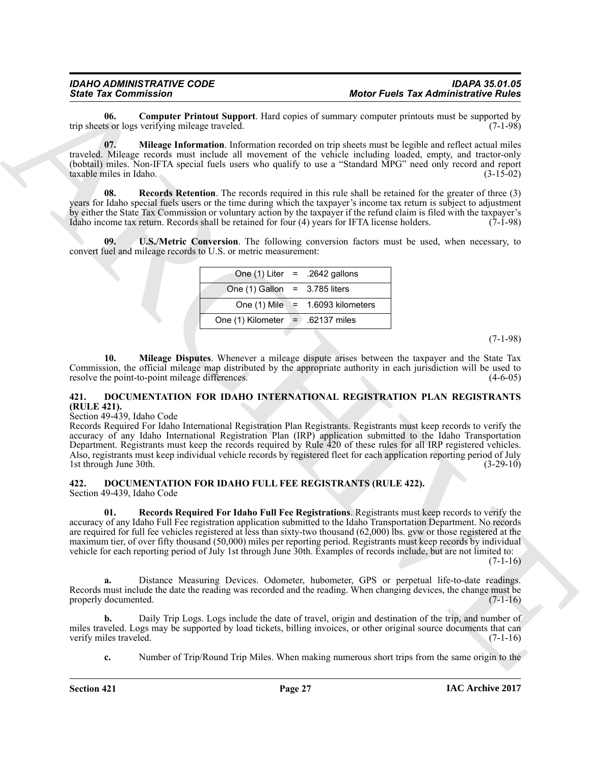<span id="page-26-5"></span>**06. Computer Printout Support**. Hard copies of summary computer printouts must be supported by the sor logs verifying mileage traveled. trip sheets or logs verifying mileage traveled.

<span id="page-26-6"></span>**07. Mileage Information**. Information recorded on trip sheets must be legible and reflect actual miles traveled. Mileage records must include all movement of the vehicle including loaded, empty, and tractor-only (bobtail) miles. Non-IFTA special fuels users who qualify to use a "Standard MPG" need only record and report taxable miles in Idaho.

<span id="page-26-7"></span>**08. Records Retention**. The records required in this rule shall be retained for the greater of three (3) years for Idaho special fuels users or the time during which the taxpayer's income tax return is subject to adjustment by either the State Tax Commission or voluntary action by the taxpayer if the refund claim is filed with the taxpayer's Idaho income tax return. Records shall be retained for four  $(4)$  years for IFTA license holders.

<span id="page-26-8"></span>**09. U.S./Metric Conversion**. The following conversion factors must be used, when necessary, to convert fuel and mileage records to U.S. or metric measurement:

|                                    | One $(1)$ Liter = .2642 gallons    |
|------------------------------------|------------------------------------|
| One $(1)$ Gallon = 3.785 liters    |                                    |
|                                    | One $(1)$ Mile = 1.6093 kilometers |
| One (1) Kilometer $=$ .62137 miles |                                    |
|                                    |                                    |

(7-1-98)

<span id="page-26-9"></span>**10. Mileage Disputes**. Whenever a mileage dispute arises between the taxpayer and the State Tax Commission, the official mileage map distributed by the appropriate authority in each jurisdiction will be used to resolve the point-to-point mileage differences. (4-6-05) resolve the point-to-point mileage differences.

### <span id="page-26-4"></span><span id="page-26-0"></span>**421. DOCUMENTATION FOR IDAHO INTERNATIONAL REGISTRATION PLAN REGISTRANTS (RULE 421).**

### Section 49-439, Idaho Code

Since Tax Commuter Finland Supervirt, that ooyie of same Morio Fuel Tax Administrative Right<br>
applies to computer Finland Supervirt that ooyie of same space and the tractice and the supervirtual interaction<br>
the Supervirt Records Required For Idaho International Registration Plan Registrants. Registrants must keep records to verify the accuracy of any Idaho International Registration Plan (IRP) application submitted to the Idaho Transportation Department. Registrants must keep the records required by Rule 420 of these rules for all IRP registered vehicles. Also, registrants must keep individual vehicle records by registered fleet for each application reporting period of July 1st through June 30th.

<span id="page-26-2"></span><span id="page-26-1"></span>**422. DOCUMENTATION FOR IDAHO FULL FEE REGISTRANTS (RULE 422).** Section 49-439, Idaho Code

<span id="page-26-3"></span>**01. Records Required For Idaho Full Fee Registrations**. Registrants must keep records to verify the accuracy of any Idaho Full Fee registration application submitted to the Idaho Transportation Department. No records are required for full fee vehicles registered at less than sixty-two thousand (62,000) lbs. gvw or those registered at the maximum tier, of over fifty thousand (50,000) miles per reporting period. Registrants must keep records by individual vehicle for each reporting period of July 1st through June 30th. Examples of records include, but are not limited to:

 $(7-1-16)$ 

**a.** Distance Measuring Devices. Odometer, hubometer, GPS or perpetual life-to-date readings. Records must include the date the reading was recorded and the reading. When changing devices, the change must be properly documented. (7-1-16) properly documented.

**b.** Daily Trip Logs. Logs include the date of travel, origin and destination of the trip, and number of miles traveled. Logs may be supported by load tickets, billing invoices, or other original source documents that can verify miles traveled. (7-1-16) verify miles traveled.

**c.** Number of Trip/Round Trip Miles. When making numerous short trips from the same origin to the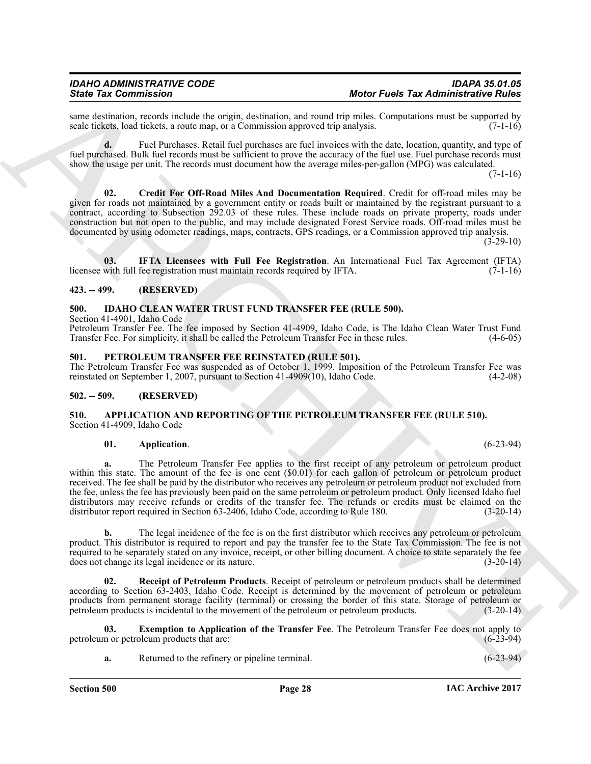same destination, records include the origin, destination, and round trip miles. Computations must be supported by scale tickets, load tickets, a route map, or a Commission approved trip analysis. (7-1-16) scale tickets, load tickets, a route map, or a Commission approved trip analysis.

**d.** Fuel Purchases. Retail fuel purchases are fuel invoices with the date, location, quantity, and type of fuel purchased. Bulk fuel records must be sufficient to prove the accuracy of the fuel use. Fuel purchase records must show the usage per unit. The records must document how the average miles-per-gallon (MPG) was calculated.

 $(7-1-16)$ 

<span id="page-27-9"></span>**02. Credit For Off-Road Miles And Documentation Required**. Credit for off-road miles may be given for roads not maintained by a government entity or roads built or maintained by the registrant pursuant to a contract, according to Subsection 292.03 of these rules. These include roads on private property, roads under construction but not open to the public, and may include designated Forest Service roads. Off-road miles must be documented by using odometer readings, maps, contracts, GPS readings, or a Commission approved trip analysis.

 $(3-29-10)$ 

<span id="page-27-10"></span>**03. IFTA Licensees with Full Fee Registration**. An International Fuel Tax Agreement (IFTA) licensee with full fee registration must maintain records required by IFTA.

### <span id="page-27-0"></span>**423. -- 499. (RESERVED)**

### <span id="page-27-11"></span><span id="page-27-1"></span>**500. IDAHO CLEAN WATER TRUST FUND TRANSFER FEE (RULE 500).**

Section 41-4901, Idaho Code

Petroleum Transfer Fee. The fee imposed by Section 41-4909, Idaho Code, is The Idaho Clean Water Trust Fund Transfer Fee. For simplicity, it shall be called the Petroleum Transfer Fee in these rules. (4-6-05)

### <span id="page-27-12"></span><span id="page-27-2"></span>**501. PETROLEUM TRANSFER FEE REINSTATED (RULE 501).**

The Petroleum Transfer Fee was suspended as of October 1, 1999. Imposition of the Petroleum Transfer Fee was reinstated on September 1, 2007, pursuant to Section 41-4909(10), Idaho Code.

### <span id="page-27-3"></span>**502. -- 509. (RESERVED)**

### <span id="page-27-5"></span><span id="page-27-4"></span>**510. APPLICATION AND REPORTING OF THE PETROLEUM TRANSFER FEE (RULE 510).** Section 41-4909, Idaho Code

### <span id="page-27-6"></span>**01. Application**. (6-23-94)

Since Tax Commission with the transition and simulate particle Tax Administrative Patient Tax (1992). The transition of the transition of the transition of the transition of the transition of the transition of the transit **a.** The Petroleum Transfer Fee applies to the first receipt of any petroleum or petroleum product within this state. The amount of the fee is one cent (\$0.01) for each gallon of petroleum or petroleum product received. The fee shall be paid by the distributor who receives any petroleum or petroleum product not excluded from the fee, unless the fee has previously been paid on the same petroleum or petroleum product. Only licensed Idaho fuel distributors may receive refunds or credits of the transfer fee. The refunds or credits must be claimed on the distributor report required in Section 63-2406, Idaho Code, according to Rule 180. (3-20-14)

**b.** The legal incidence of the fee is on the first distributor which receives any petroleum or petroleum product. This distributor is required to report and pay the transfer fee to the State Tax Commission. The fee is not required to be separately stated on any invoice, receipt, or other billing document. A choice to state separately the fee does not change its legal incidence or its nature. (3-20-14)

<span id="page-27-8"></span>**02. Receipt of Petroleum Products**. Receipt of petroleum or petroleum products shall be determined according to Section 63-2403, Idaho Code. Receipt is determined by the movement of petroleum or petroleum products from permanent storage facility (terminal) or crossing the border of this state. Storage of petroleum or petroleum products is incidental to the movement of the petroleum or petroleum products. (3-20-14)

**03. Exemption to Application of the Transfer Fee**. The Petroleum Transfer Fee does not apply to petroleum or petroleum products that are: (6-23-94)

<span id="page-27-7"></span>

|  | Returned to the refinery or pipeline terminal. | $(6-23-94)$ |
|--|------------------------------------------------|-------------|
|--|------------------------------------------------|-------------|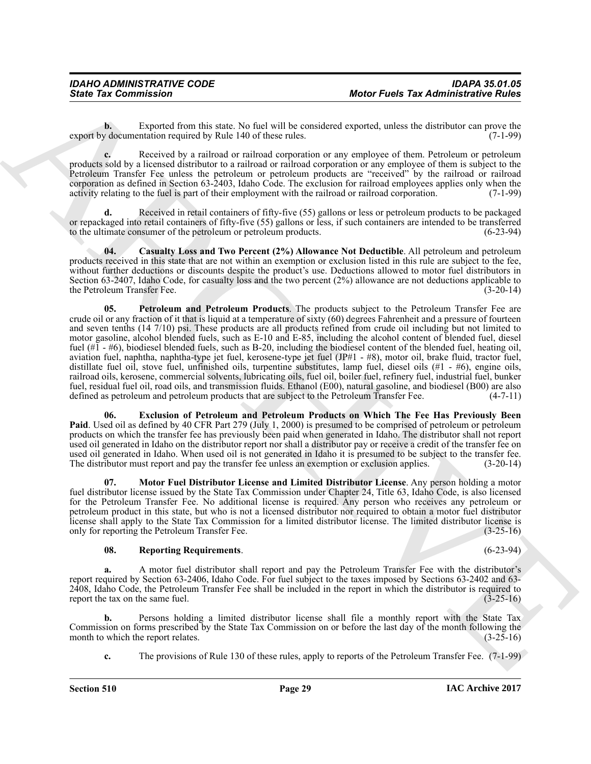**b.** Exported from this state. No fuel will be considered exported, unless the distributor can prove the v documentation required by Rule 140 of these rules. (7-1-99) export by documentation required by Rule 140 of these rules.

**c.** Received by a railroad or railroad corporation or any employee of them. Petroleum or petroleum products sold by a licensed distributor to a railroad or railroad corporation or any employee of them is subject to the Petroleum Transfer Fee unless the petroleum or petroleum products are "received" by the railroad or railroad corporation as defined in Section 63-2403, Idaho Code. The exclusion for railroad employees applies only when the activity relating to the fuel is part of their employment with the railroad or railroad corporation. (7-1-99)

**d.** Received in retail containers of fifty-five (55) gallons or less or petroleum products to be packaged or repackaged into retail containers of fifty-five (55) gallons or less, if such containers are intended to be transferred to the ultimate consumer of the petroleum or petroleum products.

<span id="page-28-3"></span><span id="page-28-0"></span>**04. Casualty Loss and Two Percent (2%) Allowance Not Deductible**. All petroleum and petroleum products received in this state that are not within an exemption or exclusion listed in this rule are subject to the fee, without further deductions or discounts despite the product's use. Deductions allowed to motor fuel distributors in Section 63-2407, Idaho Code, for casualty loss and the two percent (2%) allowance are not deductions applicable to the Petroleum Transfer Fee. (3-20-14)

Sinte Tax Commission<br>
Sinte Tax Commission<br>
Let us the star. Notice Facts are alternative and the star. Notice Facts are alternative and the star of the star. Notice the star of the star of the star of the star of the sta **05. Petroleum and Petroleum Products**. The products subject to the Petroleum Transfer Fee are crude oil or any fraction of it that is liquid at a temperature of sixty (60) degrees Fahrenheit and a pressure of fourteen and seven tenths (14 7/10) psi. These products are all products refined from crude oil including but not limited to motor gasoline, alcohol blended fuels, such as E-10 and E-85, including the alcohol content of blended fuel, diesel fuel (#1 - #6), biodiesel blended fuels, such as B-20, including the biodiesel content of the blended fuel, heating oil, aviation fuel, naphtha, naphtha-type jet fuel, kerosene-type jet fuel (JP#1 - #8), motor oil, brake fluid, tractor fuel, distillate fuel oil, stove fuel, unfinished oils, turpentine substitutes, lamp fuel, diesel oils (#1 - #6), engine oils, railroad oils, kerosene, commercial solvents, lubricating oils, fuel oil, boiler fuel, refinery fuel, industrial fuel, bunker fuel, residual fuel oil, road oils, and transmission fluids. Ethanol (E00), natural gasoline, and biodiesel (B00) are also defined as petroleum and petroleum products that are subject to the Petroleum Transfer Fee. (4-7-11 defined as petroleum and petroleum products that are subject to the Petroleum Transfer Fee.

<span id="page-28-1"></span>**06. Exclusion of Petroleum and Petroleum Products on Which The Fee Has Previously Been Paid**. Used oil as defined by 40 CFR Part 279 (July 1, 2000) is presumed to be comprised of petroleum or petroleum products on which the transfer fee has previously been paid when generated in Idaho. The distributor shall not report used oil generated in Idaho on the distributor report nor shall a distributor pay or receive a credit of the transfer fee on used oil generated in Idaho. When used oil is not generated in Idaho it is presumed to be subject to the transfer fee.<br>The distributor must report and pay the transfer fee unless an exemption or exclusion applies. (3-20-14 The distributor must report and pay the transfer fee unless an exemption or exclusion applies.

<span id="page-28-2"></span>**07. Motor Fuel Distributor License and Limited Distributor License**. Any person holding a motor fuel distributor license issued by the State Tax Commission under Chapter 24, Title 63, Idaho Code, is also licensed for the Petroleum Transfer Fee. No additional license is required. Any person who receives any petroleum or petroleum product in this state, but who is not a licensed distributor nor required to obtain a motor fuel distributor license shall apply to the State Tax Commission for a limited distributor license. The limited distributor license is only for reporting the Petroleum Transfer Fee. (3-25-16) only for reporting the Petroleum Transfer Fee.

### <span id="page-28-4"></span>**08. Reporting Requirements**. (6-23-94)

**a.** A motor fuel distributor shall report and pay the Petroleum Transfer Fee with the distributor's report required by Section 63-2406, Idaho Code. For fuel subject to the taxes imposed by Sections 63-2402 and 63- 2408, Idaho Code, the Petroleum Transfer Fee shall be included in the report in which the distributor is required to report the tax on the same fuel. (3-25-16) report the tax on the same fuel.

**b.** Persons holding a limited distributor license shall file a monthly report with the State Tax Commission on forms prescribed by the State Tax Commission on or before the last day of the month following the month to which the report relates. (3-25-16) month to which the report relates.

**c.** The provisions of Rule 130 of these rules, apply to reports of the Petroleum Transfer Fee. (7-1-99)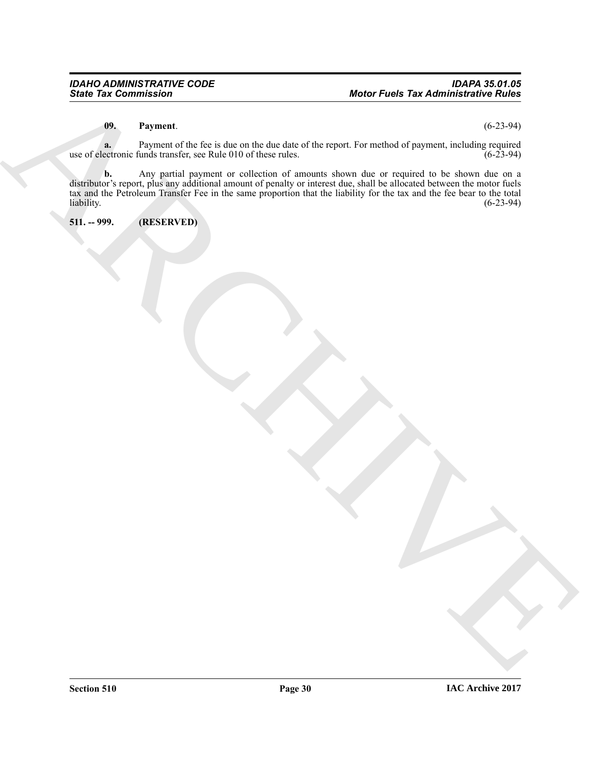### <span id="page-29-1"></span>**09. Payment**. (6-23-94)

**a.** Payment of the fee is due on the due date of the report. For method of payment, including required use of electronic funds transfer, see Rule 010 of these rules. (6-23-94)

Monte Facts the commission<br>
(b) The month of the case of the describe describe the transfer of the region of the case of the case of the<br>
and the case of the parties are the described the case of the case of the case of t **b.** Any partial payment or collection of amounts shown due or required to be shown due on a distributor's report, plus any additional amount of penalty or interest due, shall be allocated between the motor fuels tax and the Petroleum Transfer Fee in the same proportion that the liability for the tax and the fee bear to the total  $\mu$ liability.  $(6-23-94)$ 

<span id="page-29-0"></span>**511. -- 999. (RESERVED)**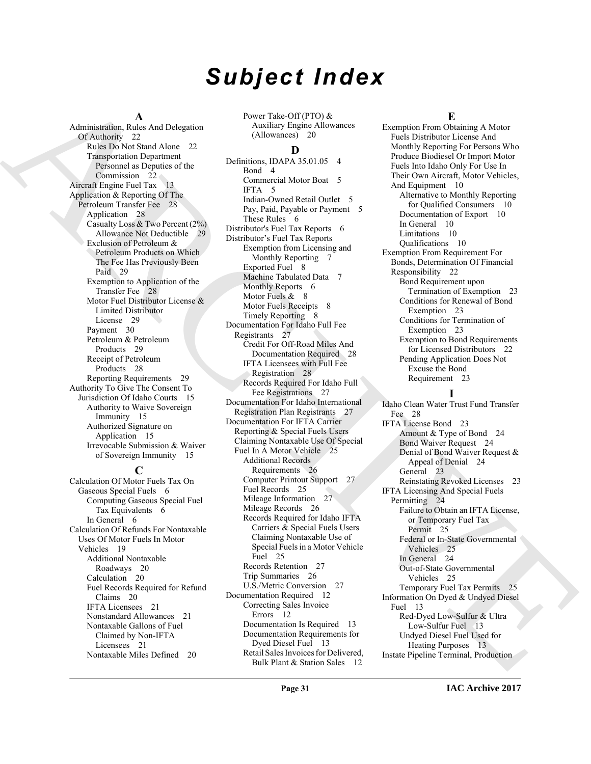# *Subject Index*

### **A**

Administration, Rules And Delegation Of Authority 22 Rules Do Not Stand Alone 22 Transportation Department Personnel as Deputies of the Commission 22 Aircraft Engine Fuel Tax 13 Application & Reporting Of The Petroleum Transfer Fee 28 Application 28 Casualty Loss & Two Percent (2%) Allowance Not Deductible 29 Exclusion of Petroleum & Petroleum Products on Which The Fee Has Previously Been Paid 29 Exemption to Application of the Transfer Fee 28 Motor Fuel Distributor License & Limited Distributor License 29 Payment 30 Petroleum & Petroleum Products 29 Receipt of Petroleum Products 28 Reporting Requirements 29 Authority To Give The Consent To Jurisdiction Of Idaho Courts 15 Authority to Waive Sovereign Immunity 15 Authorized Signature on Application 15 Irrevocable Submission & Waiver of Sovereign Immunity 15

### **C**

Calculation Of Motor Fuels Tax On Gaseous Special Fuels 6 Computing Gaseous Special Fuel Tax Equivalents 6 In General 6 Calculation Of Refunds For Nontaxable Uses Of Motor Fuels In Motor Vehicles 19 Additional Nontaxable Roadways 20 Calculation 20 Fuel Records Required for Refund Claims 20 IFTA Licensees 21 Nonstandard Allowances 21 Nontaxable Gallons of Fuel Claimed by Non-IFTA Licensees 21 Nontaxable Miles Defined 20

Power Take-Off (PTO) & Auxiliary Engine Allowances (Allowances) 20

### **D**

[A](#page-21-5)dministration And Assistant control and the special deviation in the special control and the special control and the special control and the special control and the special control and the special control and the special Definitions, IDAPA 35.01.05 4 Bond 4 Commercial Motor Boat 5 IFTA 5 Indian-Owned Retail Outlet 5 Pay, Paid, Payable or Payment 5 These Rules 6 Distributor's Fuel Tax Reports 6 Distributor's Fuel Tax Reports Exemption from Licensing and Monthly Reporting 7 Exported Fuel 8 Machine Tabulated Data 7 Monthly Reports 6 Motor Fuels  $& 8$ Motor Fuels Receipts 8 Timely Reporting 8 Documentation For Idaho Full Fee Registrants 27 Credit For Off-Road Miles And Documentation Required 28 IFTA Licensees with Full Fee Registration 28 Records Required For Idaho Full Fee Registrations 27 Documentation For Idaho International Registration Plan Registrants 27 Documentation For IFTA Carrier Reporting & Special Fuels Users Claiming Nontaxable Use Of Special Fuel In A Motor Vehicle 25 Additional Records Requirements 26 Computer Printout Support 27 Fuel Records 25 Mileage Information 27 Mileage Records 26 Records Required for Idaho IFTA Carriers & Special Fuels Users Claiming Nontaxable Use of Special Fuels in a Motor Vehicle Fuel 25 Records Retention 27 Trip Summaries 26 U.S./Metric Conversion 27 Documentation Required 12 Correcting Sales Invoice Errors 12 Documentation Is Required 13 Documentation Requirements for Dyed Diesel Fuel 13 Retail Sales Invoices for Delivered, Bulk Plant & Station Sales 12

### **E**

Exemption From Obtaining A Motor Fuels Distributor License And Monthly Reporting For Persons Who Produce Biodiesel Or Import Motor Fuels Into Idaho Only For Use In Their Own Aircraft, Motor Vehicles, And Equipment 10 Alternative to Monthly Reporting for Qualified Consumers 10 Documentation of Export 10 In General 10 Limitations 10 Qualifications 10 Exemption From Requirement For Bonds, Determination Of Financial Responsibility 22 Bond Requirement upon Termination of Exemption 23 Conditions for Renewal of Bond Exemption 23 Conditions for Termination of Exemption 23 Exemption to Bond Requirements for Licensed Distributors 22 Pending Application Does Not Excuse the Bond Requirement 23

# **I**

Idaho Clean Water Trust Fund Transfer Fee 28 IFTA License Bond 23 Amount & Type of Bond 24 Bond Waiver Request 24 Denial of Bond Waiver Request & Appeal of Denial 24 General 23 Reinstating Revoked Licenses 23 IFTA Licensing And Special Fuels Permitting 24 Failure to Obtain an IFTA License, or Temporary Fuel Tax Permit 25 Federal or In-State Governmental Vehicles 25 In General 24 Out-of-State Governmental Vehicles 25 Temporary Fuel Tax Permits 25 Information On Dyed & Undyed Diesel Fuel 13 Red-Dyed Low-Sulfur & Ultra Low-Sulfur Fuel 13 Undyed Diesel Fuel Used for Heating Purposes 13 Instate Pipeline Terminal, Production